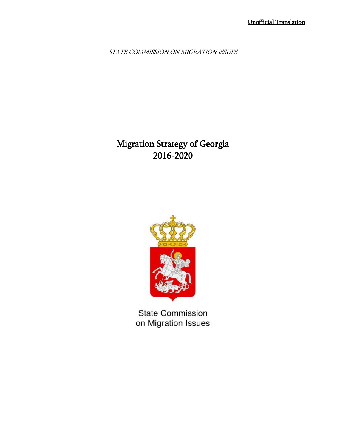STATE COMMISSION ON MIGRATION ISSUES

# Migration Strategy of Georgia 2016-2020



**State Commission** on Migration Issues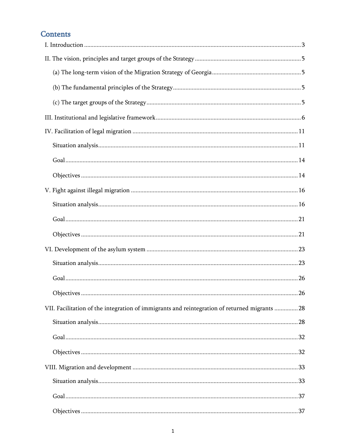# **Contents**

| VII. Facilitation of the integration of immigrants and reintegration of returned migrants  28 |  |
|-----------------------------------------------------------------------------------------------|--|
|                                                                                               |  |
|                                                                                               |  |
|                                                                                               |  |
|                                                                                               |  |
|                                                                                               |  |
|                                                                                               |  |
|                                                                                               |  |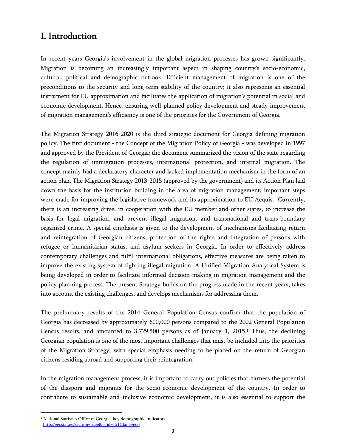# <span id="page-3-0"></span>I. Introduction

In recent years Georgia's involvement in the global migration processes has grown significantly. Migration is becoming an increasingly important aspect in shaping country's socio-economic, cultural, political and demographic outlook. Efficient management of migration is one of the preconditions to the security and long-term stability of the country; it also represents an essential instrument for EU approximation and facilitates the application of migration"s potential in social and economic development. Hence, ensuring well-planned policy development and steady improvement of migration management's efficiency is one of the priorities for the Government of Georgia.

The Migration Strategy 2016-2020 is the third strategic document for Georgia defining migration policy. The first document - the Concept of the Migration Policy of Georgia - was developed in 1997 and approved by the President of Georgia; the document summarized the vision of the state regarding the regulation of immigration processes, international protection, and internal migration. The concept mainly had a declaratory character and lacked implementation mechanism in the form of an action plan. The Migration Strategy 2013-2015 (approved by the government) and its Action Plan laid down the basis for the institution building in the area of migration management; important steps were made for improving the legislative framework and its approximation to EU Acquis. Currently, there is an increasing drive, in cooperation with the EU member and other states, to increase the basis for legal migration, and prevent illegal migration, and transnational and trans-boundary organised crime. A special emphasis is given to the development of mechanisms facilitating return and reintegration of Georgian citizens, protection of the rights and integration of persons with refugee or humanitarian status, and asylum seekers in Georgia. In order to effectively address contemporary challenges and fulfil international obligations, effective measures are being taken to improve the existing system of fighting illegal migration. A Unified Migration Analytical System is being developed in order to facilitate informed decision-making in migration management and the policy planning process. The present Strategy builds on the progress made in the recent years, takes into account the existing challenges, and develops mechanisms for addressing them.

The preliminary results of the 2014 General Population Census confirm that the population of Georgia has decreased by approximately 600,000 persons compared to the 2002 General Population Census results, and amounted to 3,729,500 persons as of January 1, 2015. <sup>1</sup> Thus, the declining Georgian population is one of the most important challenges that must be included into the priorities of the Migration Strategy, with special emphasis needing to be placed on the return of Georgian citizens residing abroad and supporting their reintegration.

In the migration management process, it is important to carry out policies that harness the potential of the diaspora and migrants for the socio-economic development of the country. In order to contribute to sustainable and inclusive economic development, it is also essential to support the

 $\overline{a}$ 

<sup>&</sup>lt;sup>1</sup> National Statistics Office of Georgia, key demographic indicators.  [http://geostat.ge/?action=page&p\\_id=151&lang=geo](http://geostat.ge/?action=page&p_id=151&lang=geo)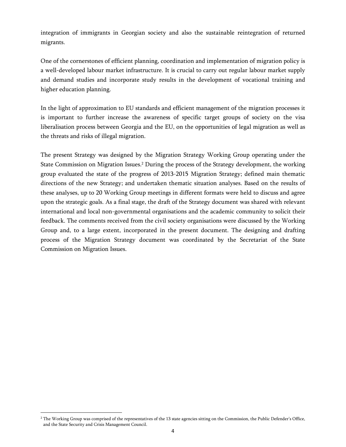integration of immigrants in Georgian society and also the sustainable reintegration of returned migrants.

One of the cornerstones of efficient planning, coordination and implementation of migration policy is a well-developed labour market infrastructure. It is crucial to carry out regular labour market supply and demand studies and incorporate study results in the development of vocational training and higher education planning.

In the light of approximation to EU standards and efficient management of the migration processes it is important to further increase the awareness of specific target groups of society on the visa liberalisation process between Georgia and the EU, on the opportunities of legal migration as well as the threats and risks of illegal migration.

The present Strategy was designed by the Migration Strategy Working Group operating under the State Commission on Migration Issues.<sup>2</sup> During the process of the Strategy development, the working group evaluated the state of the progress of 2013-2015 Migration Strategy; defined main thematic directions of the new Strategy; and undertaken thematic situation analyses. Based on the results of these analyses, up to 20 Working Group meetings in different formats were held to discuss and agree upon the strategic goals. As a final stage, the draft of the Strategy document was shared with relevant international and local non-governmental organisations and the academic community to solicit their feedback. The comments received from the civil society organisations were discussed by the Working Group and, to a large extent, incorporated in the present document. The designing and drafting process of the Migration Strategy document was coordinated by the Secretariat of the State Commission on Migration Issues.

 $\overline{a}$ 

<sup>&</sup>lt;sup>2</sup> The Working Group was comprised of the representatives of the 13 state agencies sitting on the Commission, the Public Defender's Office, and the State Security and Crisis Management Council.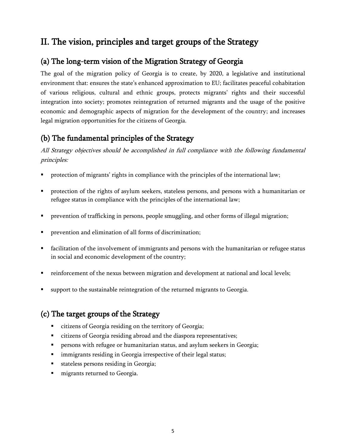# <span id="page-5-0"></span>II. The vision, principles and target groups of the Strategy

# <span id="page-5-1"></span>(a) The long-term vision of the Migration Strategy of Georgia

The goal of the migration policy of Georgia is to create, by 2020, a legislative and institutional environment that: ensures the state"s enhanced approximation to EU; facilitates peaceful cohabitation of various religious, cultural and ethnic groups, protects migrants' rights and their successful integration into society; promotes reintegration of returned migrants and the usage of the positive economic and demographic aspects of migration for the development of the country; and increases legal migration opportunities for the citizens of Georgia.

# <span id="page-5-2"></span>(b) The fundamental principles of the Strategy

All Strategy objectives should be accomplished in full compliance with the following fundamental principles:

- protection of migrants' rights in compliance with the principles of the international law;
- protection of the rights of asylum seekers, stateless persons, and persons with a humanitarian or refugee status in compliance with the principles of the international law;
- **•** prevention of trafficking in persons, people smuggling, and other forms of illegal migration;
- prevention and elimination of all forms of discrimination;
- facilitation of the involvement of immigrants and persons with the humanitarian or refugee status in social and economic development of the country;
- reinforcement of the nexus between migration and development at national and local levels;
- support to the sustainable reintegration of the returned migrants to Georgia.

# <span id="page-5-3"></span>(c) The target groups of the Strategy

- citizens of Georgia residing on the territory of Georgia;
- citizens of Georgia residing abroad and the diaspora representatives;
- **Persons with refugee or humanitarian status, and asylum seekers in Georgia;**
- **Inmigrants residing in Georgia irrespective of their legal status;**
- stateless persons residing in Georgia;
- **n** migrants returned to Georgia.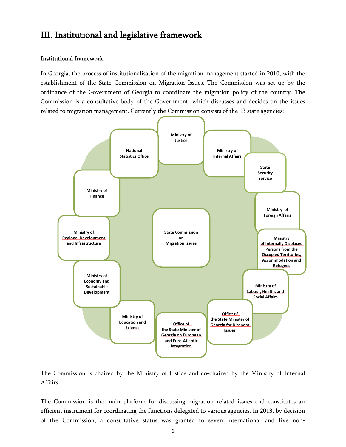# <span id="page-6-0"></span>III. Institutional and legislative framework

#### Institutional framework

In Georgia, the process of institutionalisation of the migration management started in 2010, with the establishment of the State Commission on Migration Issues. The Commission was set up by the ordinance of the Government of Georgia to coordinate the migration policy of the country. The Commission is a consultative body of the Government, which discusses and decides on the issues related to migration management. Currently the Commission consists of the 13 state agencies:



The Commission is chaired by the Ministry of Justice and co-chaired by the Ministry of Internal Affairs.

The Commission is the main platform for discussing migration related issues and constitutes an efficient instrument for coordinating the functions delegated to various agencies. In 2013, by decision of the Commission, a consultative status was granted to seven international and five non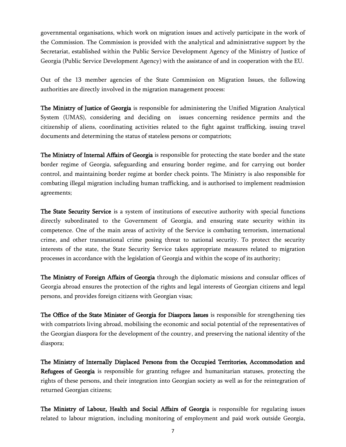governmental organisations, which work on migration issues and actively participate in the work of the Commission. The Commission is provided with the analytical and administrative support by the Secretariat, established within the Public Service Development Agency of the Ministry of Justice of Georgia (Public Service Development Agency) with the assistance of and in cooperation with the EU.

Out of the 13 member agencies of the State Commission on Migration Issues, the following authorities are directly involved in the migration management process:

The Ministry of Justice of Georgia is responsible for administering the Unified Migration Analytical System (UMAS), considering and deciding on issues concerning residence permits and the citizenship of aliens, coordinating activities related to the fight against trafficking, issuing travel documents and determining the status of stateless persons or compatriots;

The Ministry of Internal Affairs of Georgia is responsible for protecting the state border and the state border regime of Georgia, safeguarding and ensuring border regime, and for carrying out border control, and maintaining border regime at border check points. The Ministry is also responsible for combating illegal migration including human trafficking, and is authorised to implement readmission agreements;

The State Security Service is a system of institutions of executive authority with special functions directly subordinated to the Government of Georgia, and ensuring state security within its competence. One of the main areas of activity of the Service is combating terrorism, international crime, and other transnational crime posing threat to national security. To protect the security interests of the state, the State Security Service takes appropriate measures related to migration processes in accordance with the legislation of Georgia and within the scope of its authority;

The Ministry of Foreign Affairs of Georgia through the diplomatic missions and consular offices of Georgia abroad ensures the protection of the rights and legal interests of Georgian citizens and legal persons, and provides foreign citizens with Georgian visas;

The Office of the State Minister of Georgia for Diaspora Issues is responsible for strengthening ties with compatriots living abroad, mobilising the economic and social potential of the representatives of the Georgian diaspora for the development of the country, and preserving the national identity of the diaspora;

The Ministry of Internally Displaced Persons from the Occupied Territories, Accommodation and Refugees of Georgia is responsible for granting refugee and humanitarian statuses, protecting the rights of these persons, and their integration into Georgian society as well as for the reintegration of returned Georgian citizens;

The Ministry of Labour, Health and Social Affairs of Georgia is responsible for regulating issues related to labour migration, including monitoring of employment and paid work outside Georgia,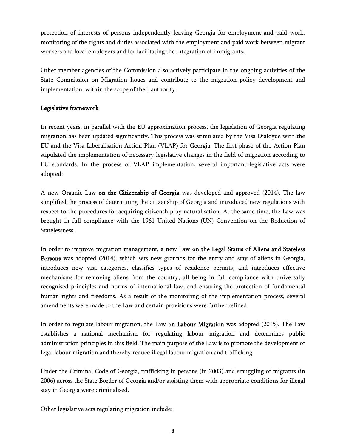protection of interests of persons independently leaving Georgia for employment and paid work, monitoring of the rights and duties associated with the employment and paid work between migrant workers and local employers and for facilitating the integration of immigrants;

Other member agencies of the Commission also actively participate in the ongoing activities of the State Commission on Migration Issues and contribute to the migration policy development and implementation, within the scope of their authority.

## Legislative framework

In recent years, in parallel with the EU approximation process, the legislation of Georgia regulating migration has been updated significantly. This process was stimulated by the Visa Dialogue with the EU and the Visa Liberalisation Action Plan (VLAP) for Georgia. The first phase of the Action Plan stipulated the implementation of necessary legislative changes in the field of migration according to EU standards. In the process of VLAP implementation, several important legislative acts were adopted:

A new Organic Law on the Citizenship of Georgia was developed and approved (2014). The law simplified the process of determining the citizenship of Georgia and introduced new regulations with respect to the procedures for acquiring citizenship by naturalisation. At the same time, the Law was brought in full compliance with the 1961 United Nations (UN) Convention on the Reduction of Statelessness.

In order to improve migration management, a new Law on the Legal Status of Aliens and Stateless Persons was adopted (2014), which sets new grounds for the entry and stay of aliens in Georgia, introduces new visa categories, classifies types of residence permits, and introduces effective mechanisms for removing aliens from the country, all being in full compliance with universally recognised principles and norms of international law, and ensuring the protection of fundamental human rights and freedoms. As a result of the monitoring of the implementation process, several amendments were made to the Law and certain provisions were further refined.

In order to regulate labour migration, the Law on Labour Migration was adopted (2015). The Law establishes a national mechanism for regulating labour migration and determines public administration principles in this field. The main purpose of the Law is to promote the development of legal labour migration and thereby reduce illegal labour migration and trafficking.

Under the Criminal Code of Georgia, trafficking in persons (in 2003) and smuggling of migrants (in 2006) across the State Border of Georgia and/or assisting them with appropriate conditions for illegal stay in Georgia were criminalised.

Other legislative acts regulating migration include: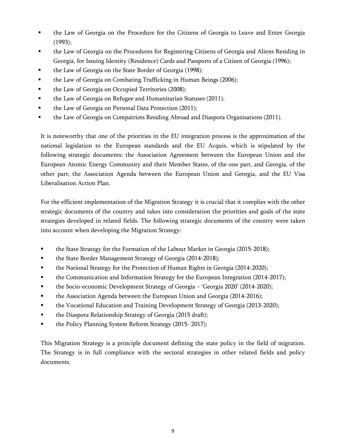- the Law of Georgia on the Procedure for the Citizens of Georgia to Leave and Enter Georgia (1993);
- the Law of Georgia on the Procedures for Registering Citizens of Georgia and Aliens Residing in Georgia, for Issuing Identity (Residence) Cards and Passports of a Citizen of Georgia (1996);
- **the Law of Georgia on the State Border of Georgia (1998);**
- **the Law of Georgia on Combating Trafficking in Human Beings (2006);**
- **the Law of Georgia on Occupied Territories (2008);**
- the Law of Georgia on Refugee and Humanitarian Statuses (2011);
- the Law of Georgia on Personal Data Protection (2011);
- **the Law of Georgia on Compatriots Residing Abroad and Diaspora Organisations (2011).**

It is noteworthy that one of the priorities in the EU integration process is the approximation of the national legislation to the European standards and the EU Acquis, which is stipulated by the following strategic documents: the Association Agreement between the European Union and the European Atomic Energy Community and their Member States, of the one part, and Georgia, of the other part; the Association Agenda between the European Union and Georgia, and the EU Visa Liberalisation Action Plan.

For the efficient implementation of the Migration Strategy it is crucial that it complies with the other strategic documents of the country and takes into consideration the priorities and goals of the state strategies developed in related fields. The following strategic documents of the country were taken into account when developing the Migration Strategy:

- **the State Strategy for the Formation of the Labour Market in Georgia (2015-2018);**
- the State Border Management Strategy of Georgia (2014-2018);
- **the National Strategy for the Protection of Human Rights in Georgia (2014-2020);**
- the Communication and Information Strategy for the European Integration (2014-2017);
- **the Socio-economic Development Strategy of Georgia 'Georgia 2020' (2014-2020);**
- **the Association Agenda between the European Union and Georgia (2014-2016);**
- the Vocational Education and Training Development Strategy of Georgia (2013-2020);
- the Diaspora Relationship Strategy of Georgia (2015 draft);
- the Policy Planning System Reform Strategy (2015-2017);

This Migration Strategy is a principle document defining the state policy in the field of migration. The Strategy is in full compliance with the sectoral strategies in other related fields and policy documents.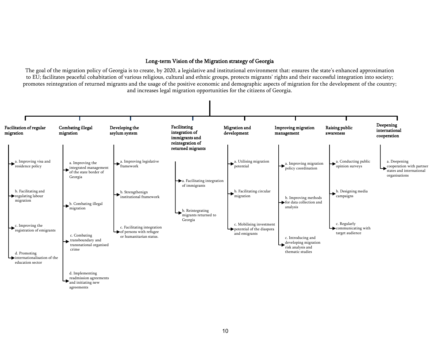#### Long-term Vision of the Migration strategy of Georgia

The goal of the migration policy of Georgia is to create, by 2020, a legislative and institutional environment that: ensures the state"s enhanced approximation to EU; facilitates peaceful cohabitation of various religious, cultural and ethnic groups, protects migrants" rights and their successful integration into society; promotes reintegration of returned migrants and the usage of the positive economic and demographic aspects of migration for the development of the country; and increases legal migration opportunities for the citizens of Georgia.

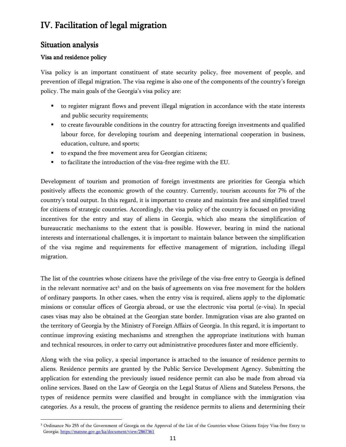# <span id="page-11-0"></span>IV. Facilitation of legal migration

# <span id="page-11-1"></span>Situation analysis

## Visa and residence policy

Visa policy is an important constituent of state security policy, free movement of people, and prevention of illegal migration. The visa regime is also one of the components of the country"s foreign policy. The main goals of the Georgia's visa policy are:

- to register migrant flows and prevent illegal migration in accordance with the state interests and public security requirements;
- to create favourable conditions in the country for attracting foreign investments and qualified labour force, for developing tourism and deepening international cooperation in business, education, culture, and sports;
- to expand the free movement area for Georgian citizens;
- to facilitate the introduction of the visa-free regime with the EU.

Development of tourism and promotion of foreign investments are priorities for Georgia which positively affects the economic growth of the country. Currently, tourism accounts for 7% of the country"s total output. In this regard, it is important to create and maintain free and simplified travel for citizens of strategic countries. Accordingly, the visa policy of the country is focused on providing incentives for the entry and stay of aliens in Georgia, which also means the simplification of bureaucratic mechanisms to the extent that is possible. However, bearing in mind the national interests and international challenges, it is important to maintain balance between the simplification of the visa regime and requirements for effective management of migration, including illegal migration.

The list of the countries whose citizens have the privilege of the visa-free entry to Georgia is defined in the relevant normative  $act<sup>3</sup>$  and on the basis of agreements on visa free movement for the holders of ordinary passports. In other cases, when the entry visa is required, aliens apply to the diplomatic missions or consular offices of Georgia abroad, or use the electronic visa portal (e-visa). In special cases visas may also be obtained at the Georgian state border. Immigration visas are also granted on the territory of Georgia by the Ministry of Foreign Affairs of Georgia. In this regard, it is important to continue improving existing mechanisms and strengthen the appropriate institutions with human and technical resources, in order to carry out administrative procedures faster and more efficiently.

Along with the visa policy, a special importance is attached to the issuance of residence permits to aliens. Residence permits are granted by the Public Service Development Agency. Submitting the application for extending the previously issued residence permit can also be made from abroad via online services. Based on the Law of Georgia on the Legal Status of Aliens and Stateless Persons, the types of residence permits were classified and brought in compliance with the immigration visa categories. As a result, the process of granting the residence permits to aliens and determining their

 $\overline{\phantom{a}}$ <sup>3</sup> Ordinance No 255 of the Government of Georgia on the Approval of the List of the Countries whose Citizens Enjoy Visa-free Entry to Georgia[; https://matsne.gov.ge/ka/document/view/2867361](https://matsne.gov.ge/ka/document/view/2867361)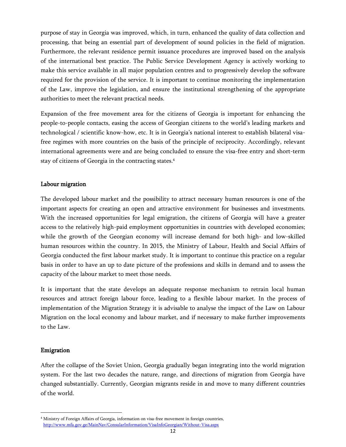purpose of stay in Georgia was improved, which, in turn, enhanced the quality of data collection and processing, that being an essential part of development of sound policies in the field of migration. Furthermore, the relevant residence permit issuance procedures are improved based on the analysis of the international best practice. The Public Service Development Agency is actively working to make this service available in all major population centres and to progressively develop the software required for the provision of the service. It is important to continue monitoring the implementation of the Law, improve the legislation, and ensure the institutional strengthening of the appropriate authorities to meet the relevant practical needs.

Expansion of the free movement area for the citizens of Georgia is important for enhancing the people-to-people contacts, easing the access of Georgian citizens to the world"s leading markets and technological / scientific know-how, etc. It is in Georgia"s national interest to establish bilateral visafree regimes with more countries on the basis of the principle of reciprocity. Accordingly, relevant international agreements were and are being concluded to ensure the visa-free entry and short-term stay of citizens of Georgia in the contracting states. 4

#### Labour migration

The developed labour market and the possibility to attract necessary human resources is one of the important aspects for creating an open and attractive environment for businesses and investments. With the increased opportunities for legal emigration, the citizens of Georgia will have a greater access to the relatively high-paid employment opportunities in countries with developed economies; while the growth of the Georgian economy will increase demand for both high- and low-skilled human resources within the country. In 2015, the Ministry of Labour, Health and Social Affairs of Georgia conducted the first labour market study. It is important to continue this practice on a regular basis in order to have an up to date picture of the professions and skills in demand and to assess the capacity of the labour market to meet those needs.

It is important that the state develops an adequate response mechanism to retrain local human resources and attract foreign labour force, leading to a flexible labour market. In the process of implementation of the Migration Strategy it is advisable to analyse the impact of the Law on Labour Migration on the local economy and labour market, and if necessary to make further improvements to the Law.

#### Emigration

 $\overline{\phantom{a}}$ 

After the collapse of the Soviet Union, Georgia gradually began integrating into the world migration system. For the last two decades the nature, range, and directions of migration from Georgia have changed substantially. Currently, Georgian migrants reside in and move to many different countries of the world.

<sup>4</sup> Ministry of Foreign Affairs of Georgia, information on visa-free movement in foreign countries, <http://www.mfa.gov.ge/MainNav/ConsularInformation/VisaInfoGeorgian/Without-Visa.aspx>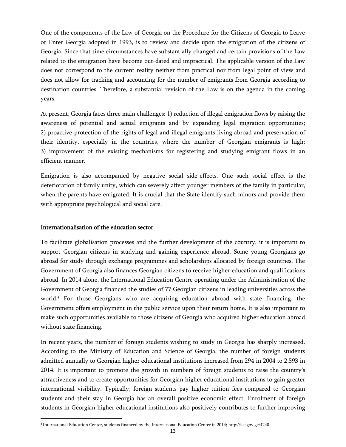One of the components of the Law of Georgia on the Procedure for the Citizens of Georgia to Leave or Enter Georgia adopted in 1993, is to review and decide upon the emigration of the citizens of Georgia. Since that time circumstances have substantially changed and certain provisions of the Law related to the emigration have become out-dated and impractical. The applicable version of the Law does not correspond to the current reality neither from practical nor from legal point of view and does not allow for tracking and accounting for the number of emigrants from Georgia according to destination countries. Therefore, a substantial revision of the Law is on the agenda in the coming years.

At present, Georgia faces three main challenges: 1) reduction of illegal emigration flows by raising the awareness of potential and actual emigrants and by expanding legal migration opportunities; 2) proactive protection of the rights of legal and illegal emigrants living abroad and preservation of their identity, especially in the countries, where the number of Georgian emigrants is high; 3) improvement of the existing mechanisms for registering and studying emigrant flows in an efficient manner.

Emigration is also accompanied by negative social side-effects. One such social effect is the deterioration of family unity, which can severely affect younger members of the family in particular, when the parents have emigrated. It is crucial that the State identify such minors and provide them with appropriate psychological and social care.

#### Internationalisation of the education sector

l

To facilitate globalisation processes and the further development of the country, it is important to support Georgian citizens in studying and gaining experience abroad. Some young Georgians go abroad for study through exchange programmes and scholarships allocated by foreign countries. The Government of Georgia also finances Georgian citizens to receive higher education and qualifications abroad. In 2014 alone, the International Education Centre operating under the Administration of the Government of Georgia financed the studies of 77 Georgian citizens in leading universities across the world.<sup>5</sup> For those Georgians who are acquiring education abroad with state financing, the Government offers employment in the public service upon their return home. It is also important to make such opportunities available to those citizens of Georgia who acquired higher education abroad without state financing.

In recent years, the number of foreign students wishing to study in Georgia has sharply increased. According to the Ministry of Education and Science of Georgia, the number of foreign students admitted annually to Georgian higher educational institutions increased from 294 in 2004 to 2,593 in 2014. It is important to promote the growth in numbers of foreign students to raise the country"s attractiveness and to create opportunities for Georgian higher educational institutions to gain greater international visibility. Typically, foreign students pay higher tuition fees compared to Georgian students and their stay in Georgia has an overall positive economic effect. Enrolment of foreign students in Georgian higher educational institutions also positively contributes to further improving

<sup>5</sup> International Education Center, students financed by the International Education Center in 2014;<http://iec.gov.ge/4240>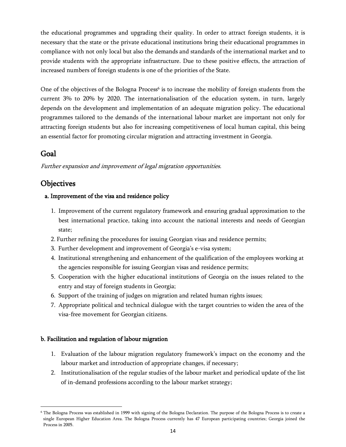the educational programmes and upgrading their quality. In order to attract foreign students, it is necessary that the state or the private educational institutions bring their educational programmes in compliance with not only local but also the demands and standards of the international market and to provide students with the appropriate infrastructure. Due to these positive effects, the attraction of increased numbers of foreign students is one of the priorities of the State.

One of the objectives of the Bologna Process<sup>6</sup> is to increase the mobility of foreign students from the current 3% to 20% by 2020. The internationalisation of the education system, in turn, largely depends on the development and implementation of an adequate migration policy. The educational programmes tailored to the demands of the international labour market are important not only for attracting foreign students but also for increasing competitiveness of local human capital, this being an essential factor for promoting circular migration and attracting investment in Georgia.

# <span id="page-14-0"></span>Goal

l

Further expansion and improvement of legal migration opportunities.

# <span id="page-14-1"></span>**Objectives**

## a. Improvement of the visa and residence policy

- 1. Improvement of the current regulatory framework and ensuring gradual approximation to the best international practice, taking into account the national interests and needs of Georgian state;
- 2. Further refining the procedures for issuing Georgian visas and residence permits;
- 3. Further development and improvement of Georgia's e-visa system;
- 4. Institutional strengthening and enhancement of the qualification of the employees working at the agencies responsible for issuing Georgian visas and residence permits;
- 5. Cooperation with the higher educational institutions of Georgia on the issues related to the entry and stay of foreign students in Georgia;
- 6. Support of the training of judges on migration and related human rights issues;
- 7. Appropriate political and technical dialogue with the target countries to widen the area of the visa-free movement for Georgian citizens.

## b. Facilitation and regulation of labour migration

- 1. Evaluation of the labour migration regulatory framework"s impact on the economy and the labour market and introduction of appropriate changes, if necessary;
- 2. Institutionalisation of the regular studies of the labour market and periodical update of the list of in-demand professions according to the labour market strategy;

<sup>6</sup> The Bologna Process was established in 1999 with signing of the Bologna Declaration. The purpose of the Bologna Process is to create a single European Higher Education Area. The Bologna Process currently has 47 European participating countries; Georgia joined the Process in 2005.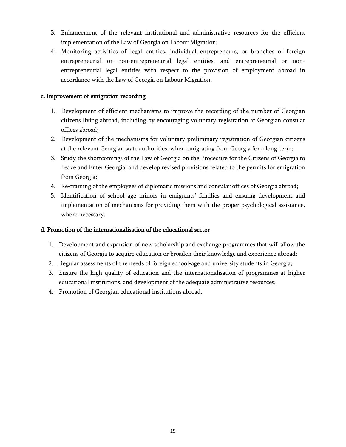- 3. Enhancement of the relevant institutional and administrative resources for the efficient implementation of the Law of Georgia on Labour Migration;
- 4. Monitoring activities of legal entities, individual entrepreneurs, or branches of foreign entrepreneurial or non-entrepreneurial legal entities, and entrepreneurial or nonentrepreneurial legal entities with respect to the provision of employment abroad in accordance with the Law of Georgia on Labour Migration.

## c. Improvement of emigration recording

- 1. Development of efficient mechanisms to improve the recording of the number of Georgian citizens living abroad, including by encouraging voluntary registration at Georgian consular offices abroad;
- 2. Development of the mechanisms for voluntary preliminary registration of Georgian citizens at the relevant Georgian state authorities, when emigrating from Georgia for a long-term;
- 3. Study the shortcomings of the Law of Georgia on the Procedure for the Citizens of Georgia to Leave and Enter Georgia, and develop revised provisions related to the permits for emigration from Georgia;
- 4. Re-training of the employees of diplomatic missions and consular offices of Georgia abroad;
- 5. Identification of school age minors in emigrants' families and ensuing development and implementation of mechanisms for providing them with the proper psychological assistance, where necessary.

## d. Promotion of the internationalisation of the educational sector

- 1. Development and expansion of new scholarship and exchange programmes that will allow the citizens of Georgia to acquire education or broaden their knowledge and experience abroad;
- 2. Regular assessments of the needs of foreign school-age and university students in Georgia;
- 3. Ensure the high quality of education and the internationalisation of programmes at higher educational institutions, and development of the adequate administrative resources;
- 4. Promotion of Georgian educational institutions abroad.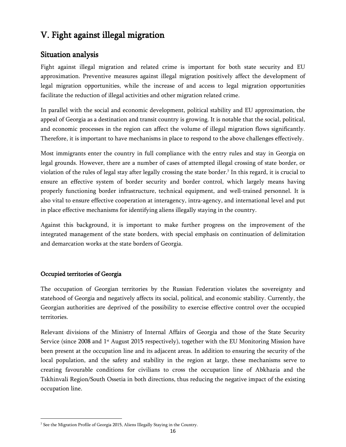# <span id="page-16-0"></span>V. Fight against illegal migration

# <span id="page-16-1"></span>Situation analysis

Fight against illegal migration and related crime is important for both state security and EU approximation. Preventive measures against illegal migration positively affect the development of legal migration opportunities, while the increase of and access to legal migration opportunities facilitate the reduction of illegal activities and other migration related crime.

In parallel with the social and economic development, political stability and EU approximation, the appeal of Georgia as a destination and transit country is growing. It is notable that the social, political, and economic processes in the region can affect the volume of illegal migration flows significantly. Therefore, it is important to have mechanisms in place to respond to the above challenges effectively.

Most immigrants enter the country in full compliance with the entry rules and stay in Georgia on legal grounds. However, there are a number of cases of attempted illegal crossing of state border, or violation of the rules of legal stay after legally crossing the state border.<sup>7</sup> In this regard, it is crucial to ensure an effective system of border security and border control, which largely means having properly functioning border infrastructure, technical equipment, and well-trained personnel. It is also vital to ensure effective cooperation at interagency, intra-agency, and international level and put in place effective mechanisms for identifying aliens illegally staying in the country.

Against this background, it is important to make further progress on the improvement of the integrated management of the state borders, with special emphasis on continuation of delimitation and demarcation works at the state borders of Georgia.

# Occupied territories of Georgia

l

The occupation of Georgian territories by the Russian Federation violates the sovereignty and statehood of Georgia and negatively affects its social, political, and economic stability. Currently, the Georgian authorities are deprived of the possibility to exercise effective control over the occupied territories.

Relevant divisions of the Ministry of Internal Affairs of Georgia and those of the State Security Service (since 2008 and 1<sup>st</sup> August 2015 respectively), together with the EU Monitoring Mission have been present at the occupation line and its adjacent areas. In addition to ensuring the security of the local population, and the safety and stability in the region at large, these mechanisms serve to creating favourable conditions for civilians to cross the occupation line of Abkhazia and the Tskhinvali Region/South Ossetia in both directions, thus reducing the negative impact of the existing occupation line.

<sup>7</sup> See the Migration Profile of Georgia 2015, Aliens Illegally Staying in the Country.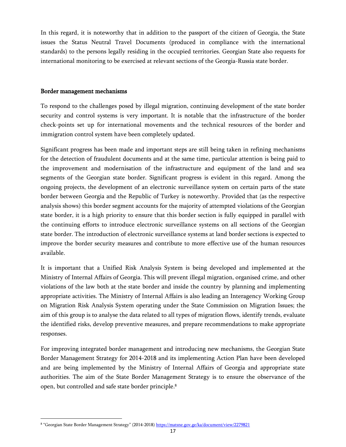In this regard, it is noteworthy that in addition to the passport of the citizen of Georgia, the State issues the Status Neutral Travel Documents (produced in compliance with the international standards) to the persons legally residing in the occupied territories. Georgian State also requests for international monitoring to be exercised at relevant sections of the Georgia-Russia state border.

#### Border management mechanisms

To respond to the challenges posed by illegal migration, continuing development of the state border security and control systems is very important. It is notable that the infrastructure of the border check-points set up for international movements and the technical resources of the border and immigration control system have been completely updated.

Significant progress has been made and important steps are still being taken in refining mechanisms for the detection of fraudulent documents and at the same time, particular attention is being paid to the improvement and modernisation of the infrastructure and equipment of the land and sea segments of the Georgian state border. Significant progress is evident in this regard. Among the ongoing projects, the development of an electronic surveillance system on certain parts of the state border between Georgia and the Republic of Turkey is noteworthy. Provided that (as the respective analysis shows) this border segment accounts for the majority of attempted violations of the Georgian state border, it is a high priority to ensure that this border section is fully equipped in parallel with the continuing efforts to introduce electronic surveillance systems on all sections of the Georgian state border. The introduction of electronic surveillance systems at land border sections is expected to improve the border security measures and contribute to more effective use of the human resources available.

It is important that a Unified Risk Analysis System is being developed and implemented at the Ministry of Internal Affairs of Georgia. This will prevent illegal migration, organised crime, and other violations of the law both at the state border and inside the country by planning and implementing appropriate activities. The Ministry of Internal Affairs is also leading an Interagency Working Group on Migration Risk Analysis System operating under the State Commission on Migration Issues; the aim of this group is to analyse the data related to all types of migration flows, identify trends, evaluate the identified risks, develop preventive measures, and prepare recommendations to make appropriate responses.

For improving integrated border management and introducing new mechanisms, the Georgian State Border Management Strategy for 2014-2018 and its implementing Action Plan have been developed and are being implemented by the Ministry of Internal Affairs of Georgia and appropriate state authorities. The aim of the State Border Management Strategy is to ensure the observance of the open, but controlled and safe state border principle.<sup>8</sup>

l

<sup>&</sup>lt;sup>8</sup> "Georgian State Border Management Strategy" (2014-2018) <u>https://matsne.gov.ge/ka/document/view/2279821</u>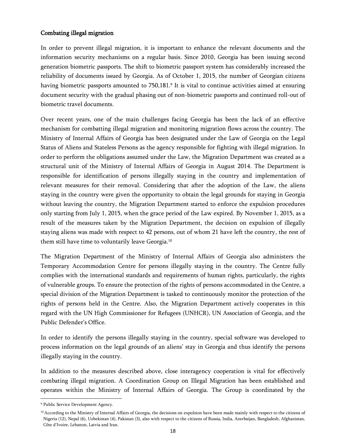#### Combating illegal migration

In order to prevent illegal migration, it is important to enhance the relevant documents and the information security mechanisms on a regular basis. Since 2010, Georgia has been issuing second generation biometric passports. The shift to biometric passport system has considerably increased the reliability of documents issued by Georgia. As of October 1, 2015, the number of Georgian citizens having biometric passports amounted to 750,181.<sup>9</sup> It is vital to continue activities aimed at ensuring document security with the gradual phasing out of non-biometric passports and continued roll-out of biometric travel documents.

Over recent years, one of the main challenges facing Georgia has been the lack of an effective mechanism for combatting illegal migration and monitoring migration flows across the country. The Ministry of Internal Affairs of Georgia has been designated under the Law of Georgia on the Legal Status of Aliens and Stateless Persons as the agency responsible for fighting with illegal migration. In order to perform the obligations assumed under the Law, the Migration Department was created as a structural unit of the Ministry of Internal Affairs of Georgia in August 2014. The Department is responsible for identification of persons illegally staying in the country and implementation of relevant measures for their removal. Considering that after the adoption of the Law, the aliens staying in the country were given the opportunity to obtain the legal grounds for staying in Georgia without leaving the country, the Migration Department started to enforce the expulsion procedures only starting from July 1, 2015, when the grace period of the Law expired. By November 1, 2015, as a result of the measures taken by the Migration Department, the decision on expulsion of illegally staying aliens was made with respect to 42 persons, out of whom 21 have left the country, the rest of them still have time to voluntarily leave Georgia. 10

The Migration Department of the Ministry of Internal Affairs of Georgia also administers the Temporary Accommodation Centre for persons illegally staying in the country. The Centre fully complies with the international standards and requirements of human rights, particularly, the rights of vulnerable groups. To ensure the protection of the rights of persons accommodated in the Centre, a special division of the Migration Department is tasked to continuously monitor the protection of the rights of persons held in the Centre. Also, the Migration Department actively cooperates in this regard with the UN High Commissioner for Refugees (UNHCR), UN Association of Georgia, and the Public Defender's Office.

In order to identify the persons illegally staying in the country, special software was developed to process information on the legal grounds of an aliens" stay in Georgia and thus identify the persons illegally staying in the country.

In addition to the measures described above, close interagency cooperation is vital for effectively combating illegal migration. A Coordination Group on Illegal Migration has been established and operates within the Ministry of Internal Affairs of Georgia. The Group is coordinated by the

 $\overline{\phantom{a}}$ 

<sup>9</sup> Public Service Development Agency.

<sup>&</sup>lt;sup>10</sup> According to the Ministry of Internal Affairs of Georgia, the decisions on expulsion have been made mainly with respect to the citizens of Nigeria (12), Nepal (6), Uzbekistan (4), Pakistan (3), also with respect to the citizens of Russia, India, Azerbaijan, Bangladesh, Afghanistan, Côte d'Ivoire, Lebanon, Latvia and Iran.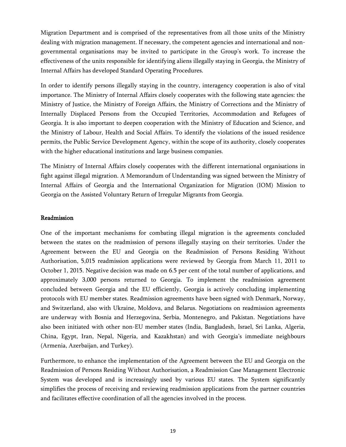Migration Department and is comprised of the representatives from all those units of the Ministry dealing with migration management. If necessary, the competent agencies and international and nongovernmental organisations may be invited to participate in the Group"s work. To increase the effectiveness of the units responsible for identifying aliens illegally staying in Georgia, the Ministry of Internal Affairs has developed Standard Operating Procedures.

In order to identify persons illegally staying in the country, interagency cooperation is also of vital importance. The Ministry of Internal Affairs closely cooperates with the following state agencies: the Ministry of Justice, the Ministry of Foreign Affairs, the Ministry of Corrections and the Ministry of Internally Displaced Persons from the Occupied Territories, Accommodation and Refugees of Georgia. It is also important to deepen cooperation with the Ministry of Education and Science, and the Ministry of Labour, Health and Social Affairs. To identify the violations of the issued residence permits, the Public Service Development Agency, within the scope of its authority, closely cooperates with the higher educational institutions and large business companies.

The Ministry of Internal Affairs closely cooperates with the different international organisations in fight against illegal migration. A Memorandum of Understanding was signed between the Ministry of Internal Affairs of Georgia and the International Organization for Migration (IOM) Mission to Georgia on the Assisted Voluntary Return of Irregular Migrants from Georgia.

## Readmission

One of the important mechanisms for combating illegal migration is the agreements concluded between the states on the readmission of persons illegally staying on their territories. Under the Agreement between the EU and Georgia on the Readmission of Persons Residing Without Authorisation, 5,015 readmission applications were reviewed by Georgia from March 11, 2011 to October 1, 2015. Negative decision was made on 6.5 per cent of the total number of applications, and approximately 3,000 persons returned to Georgia. To implement the readmission agreement concluded between Georgia and the EU efficiently, Georgia is actively concluding implementing protocols with EU member states. Readmission agreements have been signed with Denmark, Norway, and Switzerland, also with Ukraine, Moldova, and Belarus. Negotiations on readmission agreements are underway with Bosnia and Herzegovina, Serbia, Montenegro, and Pakistan. Negotiations have also been initiated with other non-EU member states (India, Bangladesh, Israel, Sri Lanka, Algeria, China, Egypt, Iran, Nepal, Nigeria, and Kazakhstan) and with Georgia"s immediate neighbours (Armenia, Azerbaijan, and Turkey).

Furthermore, to enhance the implementation of the Agreement between the EU and Georgia on the Readmission of Persons Residing Without Authorisation, a Readmission Case Management Electronic System was developed and is increasingly used by various EU states. The System significantly simplifies the process of receiving and reviewing readmission applications from the partner countries and facilitates effective coordination of all the agencies involved in the process.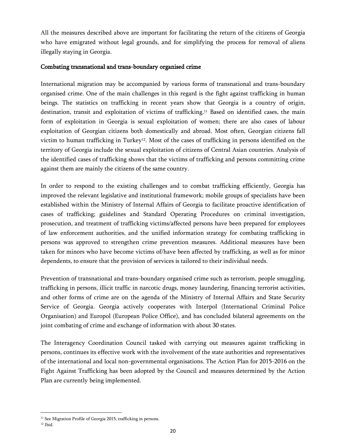All the measures described above are important for facilitating the return of the citizens of Georgia who have emigrated without legal grounds, and for simplifying the process for removal of aliens illegally staying in Georgia.

#### Combating transnational and trans-boundary organised crime

International migration may be accompanied by various forms of transnational and trans-boundary organised crime. One of the main challenges in this regard is the fight against trafficking in human beings. The statistics on trafficking in recent years show that Georgia is a country of origin, destination, transit and exploitation of victims of trafficking.<sup>11</sup> Based on identified cases, the main form of exploitation in Georgia is sexual exploitation of women; there are also cases of labour exploitation of Georgian citizens both domestically and abroad. Most often, Georgian citizens fall victim to human trafficking in Turkey<sup>12</sup>. Most of the cases of trafficking in persons identified on the territory of Georgia include the sexual exploitation of citizens of Central Asian countries. Analysis of the identified cases of trafficking shows that the victims of trafficking and persons committing crime against them are mainly the citizens of the same country.

In order to respond to the existing challenges and to combat trafficking efficiently, Georgia has improved the relevant legislative and institutional framework; mobile groups of specialists have been established within the Ministry of Internal Affairs of Georgia to facilitate proactive identification of cases of trafficking; guidelines and Standard Operating Procedures on criminal investigation, prosecution, and treatment of trafficking victims/affected persons have been prepared for employees of law enforcement authorities, and the unified information strategy for combating trafficking in persons was approved to strengthen crime prevention measures. Additional measures have been taken for minors who have become victims of/have been affected by trafficking, as well as for minor dependents, to ensure that the provision of services is tailored to their individual needs.

Prevention of transnational and trans-boundary organised crime such as terrorism, people smuggling, trafficking in persons, illicit traffic in narcotic drugs, money laundering, financing terrorist activities, and other forms of crime are on the agenda of the Ministry of Internal Affairs and State Security Service of Georgia. Georgia actively cooperates with Interpol (International Criminal Police Organisation) and Europol (European Police Office), and has concluded bilateral agreements on the joint combating of crime and exchange of information with about 30 states.

The Interagency Coordination Council tasked with carrying out measures against trafficking in persons, continues its effective work with the involvement of the state authorities and representatives of the international and local non-governmental organisations. The Action Plan for 2015-2016 on the Fight Against Trafficking has been adopted by the Council and measures determined by the Action Plan are currently being implemented.

 $\overline{\phantom{a}}$ 

<sup>&</sup>lt;sup>11</sup> See Migration Profile of Georgia 2015, trafficking in persons.

 $^{12}$  Ibid.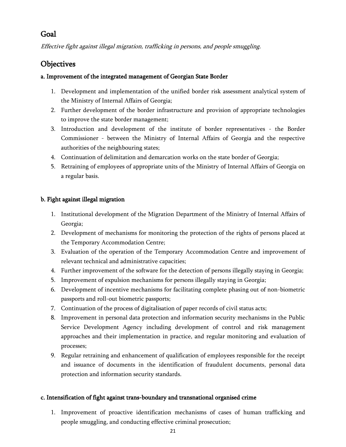# <span id="page-21-0"></span>Goal

Effective fight against illegal migration, trafficking in persons, and people smuggling.

# <span id="page-21-1"></span>**Objectives**

## a. Improvement of the integrated management of Georgian State Border

- 1. Development and implementation of the unified border risk assessment analytical system of the Ministry of Internal Affairs of Georgia;
- 2. Further development of the border infrastructure and provision of appropriate technologies to improve the state border management;
- 3. Introduction and development of the institute of border representatives the Border Commissioner - between the Ministry of Internal Affairs of Georgia and the respective authorities of the neighbouring states;
- 4. Continuation of delimitation and demarcation works on the state border of Georgia;
- 5. Retraining of employees of appropriate units of the Ministry of Internal Affairs of Georgia on a regular basis.

## b. Fight against illegal migration

- 1. Institutional development of the Migration Department of the Ministry of Internal Affairs of Georgia;
- 2. Development of mechanisms for monitoring the protection of the rights of persons placed at the Temporary Accommodation Centre;
- 3. Evaluation of the operation of the Temporary Accommodation Centre and improvement of relevant technical and administrative capacities;
- 4. Further improvement of the software for the detection of persons illegally staying in Georgia;
- 5. Improvement of expulsion mechanisms for persons illegally staying in Georgia;
- 6. Development of incentive mechanisms for facilitating complete phasing out of non-biometric passports and roll-out biometric passports;
- 7. Continuation of the process of digitalisation of paper records of civil status acts;
- 8. Improvement in personal data protection and information security mechanisms in the Public Service Development Agency including development of control and risk management approaches and their implementation in practice, and regular monitoring and evaluation of processes;
- 9. Regular retraining and enhancement of qualification of employees responsible for the receipt and issuance of documents in the identification of fraudulent documents, personal data protection and information security standards.

## c. Intensification of fight against trans-boundary and transnational organised crime

1. Improvement of proactive identification mechanisms of cases of human trafficking and people smuggling, and conducting effective criminal prosecution;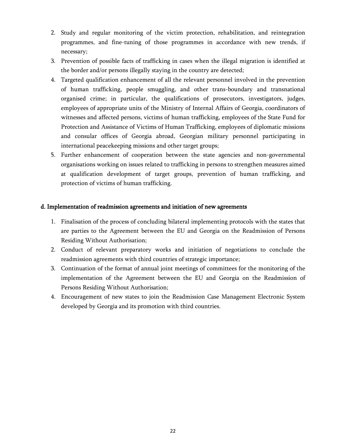- 2. Study and regular monitoring of the victim protection, rehabilitation, and reintegration programmes, and fine-tuning of those programmes in accordance with new trends, if necessary;
- 3. Prevention of possible facts of trafficking in cases when the illegal migration is identified at the border and/or persons illegally staying in the country are detected;
- 4. Targeted qualification enhancement of all the relevant personnel involved in the prevention of human trafficking, people smuggling, and other trans-boundary and transnational organised crime; in particular, the qualifications of prosecutors, investigators, judges, employees of appropriate units of the Ministry of Internal Affairs of Georgia, coordinators of witnesses and affected persons, victims of human trafficking, employees of the State Fund for Protection and Assistance of Victims of Human Trafficking, employees of diplomatic missions and consular offices of Georgia abroad, Georgian military personnel participating in international peacekeeping missions and other target groups;
- 5. Further enhancement of cooperation between the state agencies and non-governmental organisations working on issues related to trafficking in persons to strengthen measures aimed at qualification development of target groups, prevention of human trafficking, and protection of victims of human trafficking.

#### d. Implementation of readmission agreements and initiation of new agreements

- 1. Finalisation of the process of concluding bilateral implementing protocols with the states that are parties to the Agreement between the EU and Georgia on the Readmission of Persons Residing Without Authorisation;
- 2. Conduct of relevant preparatory works and initiation of negotiations to conclude the readmission agreements with third countries of strategic importance;
- 3. Continuation of the format of annual joint meetings of committees for the monitoring of the implementation of the Agreement between the EU and Georgia on the Readmission of Persons Residing Without Authorisation;
- 4. Encouragement of new states to join the Readmission Case Management Electronic System developed by Georgia and its promotion with third countries.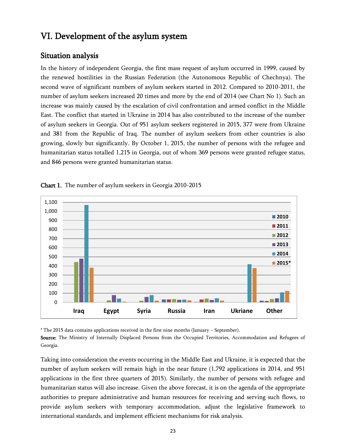# <span id="page-23-0"></span>VI. Development of the asylum system

# <span id="page-23-1"></span>Situation analysis

In the history of independent Georgia, the first mass request of asylum occurred in 1999, caused by the renewed hostilities in the Russian Federation (the Autonomous Republic of Chechnya). The second wave of significant numbers of asylum seekers started in 2012. Compared to 2010-2011, the number of asylum seekers increased 20 times and more by the end of 2014 (see Chart No 1). Such an increase was mainly caused by the escalation of civil confrontation and armed conflict in the Middle East. The conflict that started in Ukraine in 2014 has also contributed to the increase of the number of asylum seekers in Georgia. Out of 951 asylum seekers registered in 2015, 377 were from Ukraine and 381 from the Republic of Iraq. The number of asylum seekers from other countries is also growing, slowly but significantly. By October 1, 2015, the number of persons with the refugee and humanitarian status totalled 1,215 in Georgia, out of whom 369 persons were granted refugee status, and 846 persons were granted humanitarian status.



Chart 1. The number of asylum seekers in Georgia 2010-2015

\* The 2015 data contains applications received in the first nine months (January – September).

Source: The Ministry of Internally Displaced Persons from the Occupied Territories, Accommodation and Refugees of Georgia.

Taking into consideration the events occurring in the Middle East and Ukraine, it is expected that the number of asylum seekers will remain high in the near future (1,792 applications in 2014, and 951 applications in the first three quarters of 2015). Similarly, the number of persons with refugee and humanitarian status will also increase. Given the above forecast, it is on the agenda of the appropriate authorities to prepare administrative and human resources for receiving and serving such flows, to provide asylum seekers with temporary accommodation, adjust the legislative framework to international standards, and implement efficient mechanisms for risk analysis.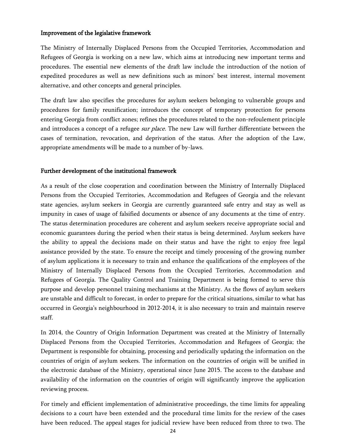#### Improvement of the legislative framework

The Ministry of Internally Displaced Persons from the Occupied Territories, Accommodation and Refugees of Georgia is working on a new law, which aims at introducing new important terms and procedures. The essential new elements of the draft law include the introduction of the notion of expedited procedures as well as new definitions such as minors" best interest, internal movement alternative, and other concepts and general principles.

The draft law also specifies the procedures for asylum seekers belonging to vulnerable groups and procedures for family reunification; introduces the concept of temporary protection for persons entering Georgia from conflict zones; refines the procedures related to the non-refoulement principle and introduces a concept of a refugee *sur place*. The new Law will further differentiate between the cases of termination, revocation, and deprivation of the status. After the adoption of the Law, appropriate amendments will be made to a number of by-laws.

#### Further development of the institutional framework

As a result of the close cooperation and coordination between the Ministry of Internally Displaced Persons from the Occupied Territories, Accommodation and Refugees of Georgia and the relevant state agencies, asylum seekers in Georgia are currently guaranteed safe entry and stay as well as impunity in cases of usage of falsified documents or absence of any documents at the time of entry. The status determination procedures are coherent and asylum seekers receive appropriate social and economic guarantees during the period when their status is being determined. Asylum seekers have the ability to appeal the decisions made on their status and have the right to enjoy free legal assistance provided by the state. To ensure the receipt and timely processing of the growing number of asylum applications it is necessary to train and enhance the qualifications of the employees of the Ministry of Internally Displaced Persons from the Occupied Territories, Accommodation and Refugees of Georgia. The Quality Control and Training Department is being formed to serve this purpose and develop personnel training mechanisms at the Ministry. As the flows of asylum seekers are unstable and difficult to forecast, in order to prepare for the critical situations, similar to what has occurred in Georgia"s neighbourhood in 2012-2014, it is also necessary to train and maintain reserve staff.

In 2014, the Country of Origin Information Department was created at the Ministry of Internally Displaced Persons from the Occupied Territories, Accommodation and Refugees of Georgia; the Department is responsible for obtaining, processing and periodically updating the information on the countries of origin of asylum seekers. The information on the countries of origin will be unified in the electronic database of the Ministry, operational since June 2015. The access to the database and availability of the information on the countries of origin will significantly improve the application reviewing process.

For timely and efficient implementation of administrative proceedings, the time limits for appealing decisions to a court have been extended and the procedural time limits for the review of the cases have been reduced. The appeal stages for judicial review have been reduced from three to two. The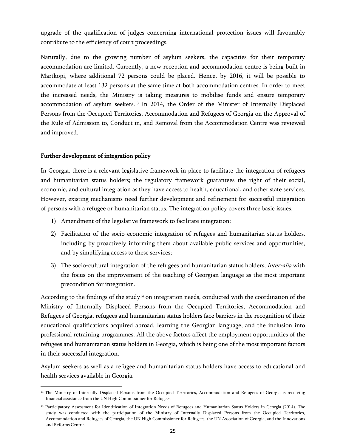upgrade of the qualification of judges concerning international protection issues will favourably contribute to the efficiency of court proceedings.

Naturally, due to the growing number of asylum seekers, the capacities for their temporary accommodation are limited. Currently, a new reception and accommodation centre is being built in Martkopi, where additional 72 persons could be placed. Hence, by 2016, it will be possible to accommodate at least 132 persons at the same time at both accommodation centres. In order to meet the increased needs, the Ministry is taking measures to mobilise funds and ensure temporary accommodation of asylum seekers. <sup>13</sup> In 2014, the Order of the Minister of Internally Displaced Persons from the Occupied Territories, Accommodation and Refugees of Georgia on the Approval of the Rule of Admission to, Conduct in, and Removal from the Accommodation Centre was reviewed and improved.

## Further development of integration policy

l

In Georgia, there is a relevant legislative framework in place to facilitate the integration of refugees and humanitarian status holders; the regulatory framework guarantees the right of their social, economic, and cultural integration as they have access to health, educational, and other state services. However, existing mechanisms need further development and refinement for successful integration of persons with a refugee or humanitarian status. The integration policy covers three basic issues:

- 1) Amendment of the legislative framework to facilitate integration;
- 2) Facilitation of the socio-economic integration of refugees and humanitarian status holders, including by proactively informing them about available public services and opportunities, and by simplifying access to these services;
- 3) The socio-cultural integration of the refugees and humanitarian status holders, *inter-alia* with the focus on the improvement of the teaching of Georgian language as the most important precondition for integration.

According to the findings of the study<sup>14</sup> on integration needs, conducted with the coordination of the Ministry of Internally Displaced Persons from the Occupied Territories, Accommodation and Refugees of Georgia, refugees and humanitarian status holders face barriers in the recognition of their educational qualifications acquired abroad, learning the Georgian language, and the inclusion into professional retraining programmes. All the above factors affect the employment opportunities of the refugees and humanitarian status holders in Georgia, which is being one of the most important factors in their successful integration.

Asylum seekers as well as a refugee and humanitarian status holders have access to educational and health services available in Georgia.

<sup>&</sup>lt;sup>13</sup> The Ministry of Internally Displaced Persons from the Occupied Territories, Accommodation and Refugees of Georgia is receiving financial assistance from the UN High Commissioner for Refugees.

<sup>&</sup>lt;sup>14</sup> Participatory Assessment for Identification of Integration Needs of Refugees and Humanitarian Status Holders in Georgia (2014). The study was conducted with the participation of the Ministry of Internally Displaced Persons from the Occupied Territories, Accommodation and Refugees of Georgia, the UN High Commissioner for Refugees, the UN Association of Georgia, and the Innovations and Reforms Centre.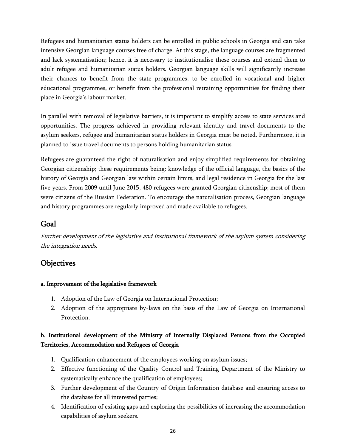Refugees and humanitarian status holders can be enrolled in public schools in Georgia and can take intensive Georgian language courses free of charge. At this stage, the language courses are fragmented and lack systematisation; hence, it is necessary to institutionalise these courses and extend them to adult refugee and humanitarian status holders. Georgian language skills will significantly increase their chances to benefit from the state programmes, to be enrolled in vocational and higher educational programmes, or benefit from the professional retraining opportunities for finding their place in Georgia's labour market.

In parallel with removal of legislative barriers, it is important to simplify access to state services and opportunities. The progress achieved in providing relevant identity and travel documents to the asylum seekers, refugee and humanitarian status holders in Georgia must be noted. Furthermore, it is planned to issue travel documents to persons holding humanitarian status.

Refugees are guaranteed the right of naturalisation and enjoy simplified requirements for obtaining Georgian citizenship; these requirements being: knowledge of the official language, the basics of the history of Georgia and Georgian law within certain limits, and legal residence in Georgia for the last five years. From 2009 until June 2015, 480 refugees were granted Georgian citizenship; most of them were citizens of the Russian Federation. To encourage the naturalisation process, Georgian language and history programmes are regularly improved and made available to refugees.

# <span id="page-26-0"></span>Goal

Further development of the legislative and institutional framework of the asylum system considering the integration needs.

# <span id="page-26-1"></span>**Objectives**

## a. Improvement of the legislative framework

- 1. Adoption of the Law of Georgia on International Protection;
- 2. Adoption of the appropriate by-laws on the basis of the Law of Georgia on International Protection.

# b. Institutional development of the Ministry of Internally Displaced Persons from the Occupied Territories, Accommodation and Refugees of Georgia

- 1. Qualification enhancement of the employees working on asylum issues;
- 2. Effective functioning of the Quality Control and Training Department of the Ministry to systematically enhance the qualification of employees;
- 3. Further development of the Country of Origin Information database and ensuring access to the database for all interested parties;
- 4. Identification of existing gaps and exploring the possibilities of increasing the accommodation capabilities of asylum seekers.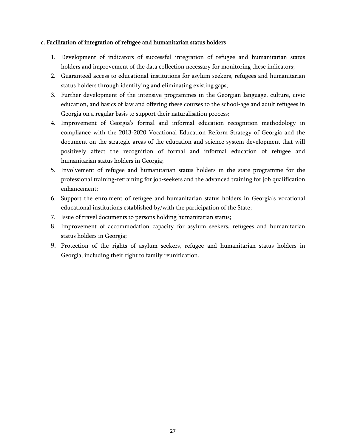#### c. Facilitation of integration of refugee and humanitarian status holders

- 1. Development of indicators of successful integration of refugee and humanitarian status holders and improvement of the data collection necessary for monitoring these indicators;
- 2. Guaranteed access to educational institutions for asylum seekers, refugees and humanitarian status holders through identifying and eliminating existing gaps;
- 3. Further development of the intensive programmes in the Georgian language, culture, civic education, and basics of law and offering these courses to the school-age and adult refugees in Georgia on a regular basis to support their naturalisation process;
- 4. Improvement of Georgia"s formal and informal education recognition methodology in compliance with the 2013-2020 Vocational Education Reform Strategy of Georgia and the document on the strategic areas of the education and science system development that will positively affect the recognition of formal and informal education of refugee and humanitarian status holders in Georgia;
- 5. Involvement of refugee and humanitarian status holders in the state programme for the professional training-retraining for job-seekers and the advanced training for job qualification enhancement;
- 6. Support the enrolment of refugee and humanitarian status holders in Georgia"s vocational educational institutions established by/with the participation of the State;
- 7. Issue of travel documents to persons holding humanitarian status;
- 8. Improvement of accommodation capacity for asylum seekers, refugees and humanitarian status holders in Georgia;
- 9. Protection of the rights of asylum seekers, refugee and humanitarian status holders in Georgia, including their right to family reunification.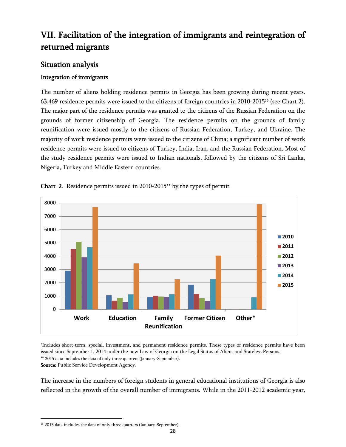# <span id="page-28-0"></span>VII. Facilitation of the integration of immigrants and reintegration of returned migrants

# <span id="page-28-1"></span>Situation analysis

# Integration of immigrants

The number of aliens holding residence permits in Georgia has been growing during recent years. 63,469 residence permits were issued to the citizens of foreign countries in 2010-2015<sup>15</sup> (see Chart 2). The major part of the residence permits was granted to the citizens of the Russian Federation on the grounds of former citizenship of Georgia. The residence permits on the grounds of family reunification were issued mostly to the citizens of Russian Federation, Turkey, and Ukraine. The majority of work residence permits were issued to the citizens of China; a significant number of work residence permits were issued to citizens of Turkey, India, Iran, and the Russian Federation. Most of the study residence permits were issued to Indian nationals, followed by the citizens of Sri Lanka, Nigeria, Turkey and Middle Eastern countries.





\*Includes short-term, special, investment, and permanent residence permits. These types of residence permits have been issued since September 1, 2014 under the new Law of Georgia on the Legal Status of Aliens and Stateless Persons. \*\* 2015 data includes the data of only three quarters (January-September). Source: Public Service Development Agency.

The increase in the numbers of foreign students in general educational institutions of Georgia is also reflected in the growth of the overall number of immigrants. While in the 2011-2012 academic year,

l

<sup>&</sup>lt;sup>15</sup> 2015 data includes the data of only three quarters (January-September).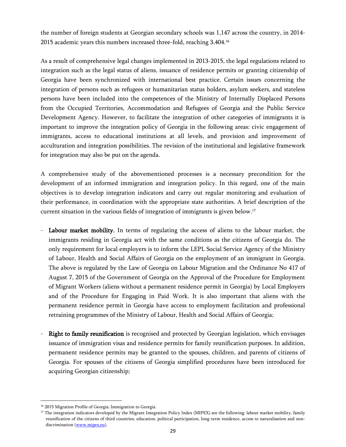the number of foreign students at Georgian secondary schools was 1,147 across the country, in 2014- 2015 academic years this numbers increased three-fold, reaching 3,404.<sup>16</sup>

As a result of comprehensive legal changes implemented in 2013-2015, the legal regulations related to integration such as the legal status of aliens, issuance of residence permits or granting citizenship of Georgia have been synchronized with international best practice. Certain issues concerning the integration of persons such as refugees or humanitarian status holders, asylum seekers, and stateless persons have been included into the competences of the Ministry of Internally Displaced Persons from the Occupied Territories, Accommodation and Refugees of Georgia and the Public Service Development Agency. However, to facilitate the integration of other categories of immigrants it is important to improve the integration policy of Georgia in the following areas: civic engagement of immigrants, access to educational institutions at all levels, and provision and improvement of acculturation and integration possibilities. The revision of the institutional and legislative framework for integration may also be put on the agenda.

A comprehensive study of the abovementioned processes is a necessary precondition for the development of an informed immigration and integration policy. In this regard, one of the main objectives is to develop integration indicators and carry out regular monitoring and evaluation of their performance, in coordination with the appropriate state authorities. A brief description of the current situation in the various fields of integration of immigrants is given below.<sup>17</sup>

- Labour market mobility. In terms of regulating the access of aliens to the labour market, the immigrants residing in Georgia act with the same conditions as the citizens of Georgia do. The only requirement for local employers is to inform the LEPL Social Service Agency of the Ministry of Labour, Health and Social Affairs of Georgia on the employment of an immigrant in Georgia. The above is regulated by the Law of Georgia on Labour Migration and the Ordinance No 417 of August 7, 2015 of the Government of Georgia on the Approval of the Procedure for Employment of Migrant Workers (aliens without a permanent residence permit in Georgia) by Local Employers and of the Procedure for Engaging in Paid Work. It is also important that aliens with the permanent residence permit in Georgia have access to employment facilitation and professional retraining programmes of the Ministry of Labour, Health and Social Affairs of Georgia;
- Right to family reunification is recognised and protected by Georgian legislation, which envisages issuance of immigration visas and residence permits for family reunification purposes. In addition, permanent residence permits may be granted to the spouses, children, and parents of citizens of Georgia. For spouses of the citizens of Georgia simplified procedures have been introduced for acquiring Georgian citizenship;

 $\overline{a}$ 

<sup>&</sup>lt;sup>16</sup> 2015 Migration Profile of Georgia; Immigration to Georgia.

<sup>&</sup>lt;sup>17</sup> The integration indicators developed by the Migrant Integration Policy Index (MIPEX) are the following: labour market mobility, family reunification of the citizens of third countries, education, political participation, long-term residence, access to naturalisation and non-discrimination [\(www.mipex.eu\)](http://www.mipex.eu/).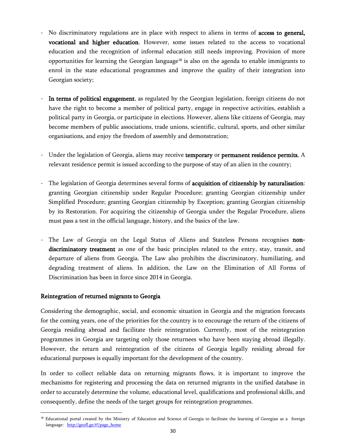- No discriminatory regulations are in place with respect to aliens in terms of access to general, vocational and higher education. However, some issues related to the access to vocational education and the recognition of informal education still needs improving. Provision of more opportunities for learning the Georgian language<sup>18</sup> is also on the agenda to enable immigrants to enrol in the state educational programmes and improve the quality of their integration into Georgian society;
- In terms of political engagement, as regulated by the Georgian legislation, foreign citizens do not have the right to become a member of political party, engage in respective activities, establish a political party in Georgia, or participate in elections. However, aliens like citizens of Georgia, may become members of public associations, trade unions, scientific, cultural, sports, and other similar organisations, and enjoy the freedom of assembly and demonstration;
- Under the legislation of Georgia, aliens may receive temporary or permanent residence permits. A relevant residence permit is issued according to the purpose of stay of an alien in the country;
- The legislation of Georgia determines several forms of acquisition of citizenship by naturalisation: granting Georgian citizenship under Regular Procedure; granting Georgian citizenship under Simplified Procedure; granting Georgian citizenship by Exception; granting Georgian citizenship by its Restoration. For acquiring the citizenship of Georgia under the Regular Procedure, aliens must pass a test in the official language, history, and the basics of the law.
- The Law of Georgia on the Legal Status of Aliens and Stateless Persons recognises nondiscriminatory treatment as one of the basic principles related to the entry, stay, transit, and departure of aliens from Georgia. The Law also prohibits the discriminatory, humiliating, and degrading treatment of aliens. In addition, the Law on the Elimination of All Forms of Discrimination has been in force since 2014 in Georgia.

#### Reintegration of returned migrants to Georgia

 $\overline{\phantom{a}}$ 

Considering the demographic, social, and economic situation in Georgia and the migration forecasts for the coming years, one of the priorities for the country is to encourage the return of the citizens of Georgia residing abroad and facilitate their reintegration. Currently, most of the reintegration programmes in Georgia are targeting only those returnees who have been staying abroad illegally. However, the return and reintegration of the citizens of Georgia legally residing abroad for educational purposes is equally important for the development of the country.

In order to collect reliable data on returning migrants flows, it is important to improve the mechanisms for registering and processing the data on returned migrants in the unified database in order to accurately determine the volume, educational level, qualifications and professional skills, and consequently, define the needs of the target groups for reintegration programmes.

<sup>&</sup>lt;sup>18</sup> Educational portal created by the Ministry of Education and Science of Georgia to facilitate the learning of Georgian as a foreign language: [http://geofl.ge/#!/page\\_home](http://geofl.ge/#!/page_home)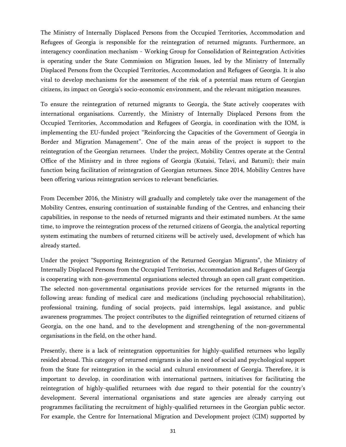The Ministry of Internally Displaced Persons from the Occupied Territories, Accommodation and Refugees of Georgia is responsible for the reintegration of returned migrants. Furthermore, an interagency coordination mechanism - Working Group for Consolidation of Reintegration Activities is operating under the State Commission on Migration Issues, led by the Ministry of Internally Displaced Persons from the Occupied Territories, Accommodation and Refugees of Georgia. It is also vital to develop mechanisms for the assessment of the risk of a potential mass return of Georgian citizens, its impact on Georgia"s socio-economic environment, and the relevant mitigation measures.

To ensure the reintegration of returned migrants to Georgia, the State actively cooperates with international organisations. Currently, the Ministry of Internally Displaced Persons from the Occupied Territories, Accommodation and Refugees of Georgia, in coordination with the IOM, is implementing the EU-funded project "Reinforcing the Capacities of the Government of Georgia in Border and Migration Management". One of the main areas of the project is support to the reintegration of the Georgian returnees. Under the project, Mobility Centres operate at the Central Office of the Ministry and in three regions of Georgia (Kutaisi, Telavi, and Batumi); their main function being facilitation of reintegration of Georgian returnees. Since 2014, Mobility Centres have been offering various reintegration services to relevant beneficiaries.

From December 2016, the Ministry will gradually and completely take over the management of the Mobility Centres, ensuring continuation of sustainable funding of the Centres, and enhancing their capabilities, in response to the needs of returned migrants and their estimated numbers. At the same time, to improve the reintegration process of the returned citizens of Georgia, the analytical reporting system estimating the numbers of returned citizens will be actively used, development of which has already started.

Under the project "Supporting Reintegration of the Returned Georgian Migrants", the Ministry of Internally Displaced Persons from the Occupied Territories, Accommodation and Refugees of Georgia is cooperating with non-governmental organisations selected through an open call grant competition. The selected non-governmental organisations provide services for the returned migrants in the following areas: funding of medical care and medications (including psychosocial rehabilitation), professional training, funding of social projects, paid internships, legal assistance, and public awareness programmes. The project contributes to the dignified reintegration of returned citizens of Georgia, on the one hand, and to the development and strengthening of the non-governmental organisations in the field, on the other hand.

Presently, there is a lack of reintegration opportunities for highly-qualified returnees who legally resided abroad. This category of returned emigrants is also in need of social and psychological support from the State for reintegration in the social and cultural environment of Georgia. Therefore, it is important to develop, in coordination with international partners, initiatives for facilitating the reintegration of highly-qualified returnees with due regard to their potential for the country"s development. Several international organisations and state agencies are already carrying out programmes facilitating the recruitment of highly-qualified returnees in the Georgian public sector. For example, the Centre for International Migration and Development project (CIM) supported by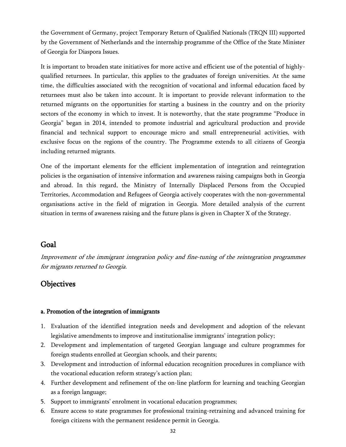the Government of Germany, project Temporary Return of Qualified Nationals (TRQN III) supported by the Government of Netherlands and the internship programme of the Office of the State Minister of Georgia for Diaspora Issues.

It is important to broaden state initiatives for more active and efficient use of the potential of highlyqualified returnees. In particular, this applies to the graduates of foreign universities. At the same time, the difficulties associated with the recognition of vocational and informal education faced by returnees must also be taken into account. It is important to provide relevant information to the returned migrants on the opportunities for starting a business in the country and on the priority sectors of the economy in which to invest. It is noteworthy, that the state programme "Produce in Georgia" began in 2014, intended to promote industrial and agricultural production and provide financial and technical support to encourage micro and small entrepreneurial activities, with exclusive focus on the regions of the country. The Programme extends to all citizens of Georgia including returned migrants.

One of the important elements for the efficient implementation of integration and reintegration policies is the organisation of intensive information and awareness raising campaigns both in Georgia and abroad. In this regard, the Ministry of Internally Displaced Persons from the Occupied Territories, Accommodation and Refugees of Georgia actively cooperates with the non-governmental organisations active in the field of migration in Georgia. More detailed analysis of the current situation in terms of awareness raising and the future plans is given in Chapter X of the Strategy.

# <span id="page-32-0"></span>Goal

Improvement of the immigrant integration policy and fine-tuning of the reintegration programmes for migrants returned to Georgia.

# <span id="page-32-1"></span>**Objectives**

## a. Promotion of the integration of immigrants

- 1. Evaluation of the identified integration needs and development and adoption of the relevant legislative amendments to improve and institutionalise immigrants' integration policy;
- 2. Development and implementation of targeted Georgian language and culture programmes for foreign students enrolled at Georgian schools, and their parents;
- 3. Development and introduction of informal education recognition procedures in compliance with the vocational education reform strategy's action plan;
- 4. Further development and refinement of the on-line platform for learning and teaching Georgian as a foreign language;
- 5. Support to immigrants' enrolment in vocational education programmes;
- 6. Ensure access to state programmes for professional training-retraining and advanced training for foreign citizens with the permanent residence permit in Georgia.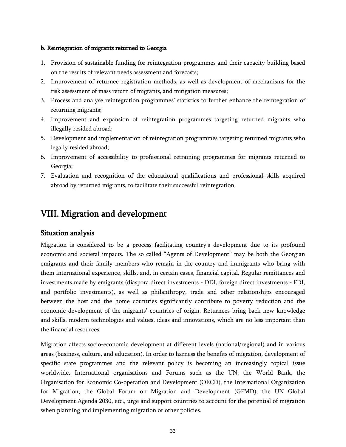#### b. Reintegration of migrants returned to Georgia

- 1. Provision of sustainable funding for reintegration programmes and their capacity building based on the results of relevant needs assessment and forecasts;
- 2. Improvement of returnee registration methods, as well as development of mechanisms for the risk assessment of mass return of migrants, and mitigation measures;
- 3. Process and analyse reintegration programmes" statistics to further enhance the reintegration of returning migrants;
- 4. Improvement and expansion of reintegration programmes targeting returned migrants who illegally resided abroad;
- 5. Development and implementation of reintegration programmes targeting returned migrants who legally resided abroad;
- 6. Improvement of accessibility to professional retraining programmes for migrants returned to Georgia;
- 7. Evaluation and recognition of the educational qualifications and professional skills acquired abroad by returned migrants, to facilitate their successful reintegration.

# <span id="page-33-0"></span>VIII. Migration and development

## <span id="page-33-1"></span>Situation analysis

Migration is considered to be a process facilitating country"s development due to its profound economic and societal impacts. The so called "Agents of Development" may be both the Georgian emigrants and their family members who remain in the country and immigrants who bring with them international experience, skills, and, in certain cases, financial capital. Regular remittances and investments made by emigrants (diaspora direct investments - DDI, foreign direct investments - FDI, and portfolio investments), as well as philanthropy, trade and other relationships encouraged between the host and the home countries significantly contribute to poverty reduction and the economic development of the migrants" countries of origin. Returnees bring back new knowledge and skills, modern technologies and values, ideas and innovations, which are no less important than the financial resources.

Migration affects socio-economic development at different levels (national/regional) and in various areas (business, culture, and education). In order to harness the benefits of migration, development of specific state programmes and the relevant policy is becoming an increasingly topical issue worldwide. International organisations and Forums such as the UN, the World Bank, the Organisation for Economic Co-operation and Development (OECD), the International Organization for Migration, the Global Forum on Migration and Development (GFMD), the UN Global Development Agenda 2030, etc., urge and support countries to account for the potential of migration when planning and implementing migration or other policies.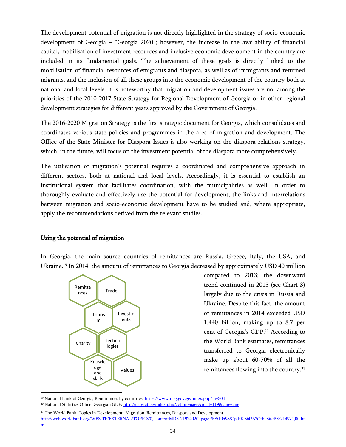The development potential of migration is not directly highlighted in the strategy of socio-economic development of Georgia – "Georgia 2020"; however, the increase in the availability of financial capital, mobilisation of investment resources and inclusive economic development in the country are included in its fundamental goals. The achievement of these goals is directly linked to the mobilisation of financial resources of emigrants and diaspora, as well as of immigrants and returned migrants, and the inclusion of all these groups into the economic development of the country both at national and local levels. It is noteworthy that migration and development issues are not among the priorities of the 2010-2017 State Strategy for Regional Development of Georgia or in other regional development strategies for different years approved by the Government of Georgia.

The 2016-2020 Migration Strategy is the first strategic document for Georgia, which consolidates and coordinates various state policies and programmes in the area of migration and development. The Office of the State Minister for Diaspora Issues is also working on the diaspora relations strategy, which, in the future, will focus on the investment potential of the diaspora more comprehensively.

The utilisation of migration's potential requires a coordinated and comprehensive approach in different sectors, both at national and local levels. Accordingly, it is essential to establish an institutional system that facilitates coordination, with the municipalities as well. In order to thoroughly evaluate and effectively use the potential for development, the links and interrelations between migration and socio-economic development have to be studied and, where appropriate, apply the recommendations derived from the relevant studies.

## Using the potential of migration

In Georgia, the main source countries of remittances are Russia, Greece, Italy, the USA, and Ukraine.<sup>19</sup> In 2014, the amount of remittances to Georgia decreased by approximately USD 40 million



compared to 2013; the downward trend continued in 2015 (see Chart 3) largely due to the crisis in Russia and Ukraine. Despite this fact, the amount of remittances in 2014 exceeded USD 1.440 billion, making up to 8.7 per cent of Georgia's GDP.<sup>20</sup> According to the World Bank estimates, remittances transferred to Georgia electronically make up about 60-70% of all the remittances flowing into the country.<sup>21</sup>

l <sup>19</sup> National Bank of Georgia, Remittances by countries[. https://www.nbg.gov.ge/index.php?m=304](https://www.nbg.gov.ge/index.php?m=304)

<sup>20</sup> National Statistics Office, Georgian GDP[; http://geostat.ge/index.php?action=page&p\\_id=119&lang=eng](http://geostat.ge/index.php?action=page&p_id=119&lang=eng)

<sup>&</sup>lt;sup>21</sup> The World Bank, Topics in Development- Migration, Remittances, Diaspora and Development. [http://web.worldbank.org/WBSITE/EXTERNAL/TOPICS/0,,contentMDK:21924020~pagePK:5105988~piPK:360975~theSitePK:214971,00.ht](http://web.worldbank.org/WBSITE/EXTERNAL/TOPICS/0,,contentMDK:21924020~pagePK:5105988~piPK:360975~theSitePK:214971,00.html) [ml](http://web.worldbank.org/WBSITE/EXTERNAL/TOPICS/0,,contentMDK:21924020~pagePK:5105988~piPK:360975~theSitePK:214971,00.html)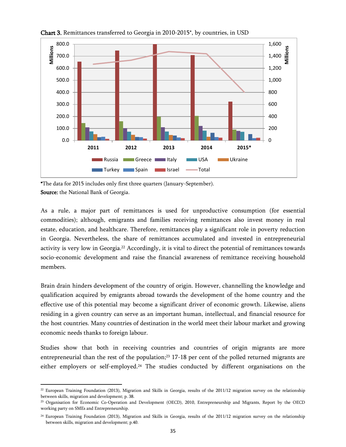

Chart 3. Remittances transferred to Georgia in 2010-2015\*, by countries, in USD

\*The data for 2015 includes only first three quarters (January-September). Source: the National Bank of Georgia.

As a rule, a major part of remittances is used for unproductive consumption (for essential commodities); although, emigrants and families receiving remittances also invest money in real estate, education, and healthcare. Therefore, remittances play a significant role in poverty reduction in Georgia. Nevertheless, the share of remittances accumulated and invested in entrepreneurial activity is very low in Georgia.<sup>22</sup> Accordingly, it is vital to direct the potential of remittances towards socio-economic development and raise the financial awareness of remittance receiving household members.

Brain drain hinders development of the country of origin. However, channelling the knowledge and qualification acquired by emigrants abroad towards the development of the home country and the effective use of this potential may become a significant driver of economic growth. Likewise, aliens residing in a given country can serve as an important human, intellectual, and financial resource for the host countries. Many countries of destination in the world meet their labour market and growing economic needs thanks to foreign labour.

Studies show that both in receiving countries and countries of origin migrants are more entrepreneurial than the rest of the population;<sup>23</sup> 17-18 per cent of the polled returned migrants are either employers or self-employed.<sup>24</sup> The studies conducted by different organisations on the

 $\overline{a}$  $22$  European Training Foundation (2013), Migration and Skills in Georgia, results of the 2011/12 migration survey on the relationship between skills, migration and development; p. 38.

<sup>&</sup>lt;sup>23</sup> Organisation for Economic Co-Operation and Development (OECD), 2010, Entrepreneurship and Migrants, Report by the OECD working party on SMEs and Entrepreneurship.

<sup>&</sup>lt;sup>24</sup> European Training Foundation (2013), Migration and Skills in Georgia, results of the 2011/12 migration survey on the relationship between skills, migration and development; p.40.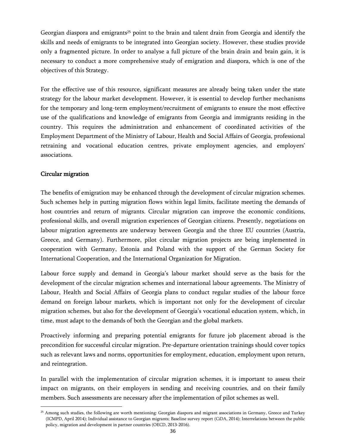Georgian diaspora and emigrants<sup>25</sup> point to the brain and talent drain from Georgia and identify the skills and needs of emigrants to be integrated into Georgian society. However, these studies provide only a fragmented picture. In order to analyse a full picture of the brain drain and brain gain, it is necessary to conduct a more comprehensive study of emigration and diaspora, which is one of the objectives of this Strategy.

For the effective use of this resource, significant measures are already being taken under the state strategy for the labour market development. However, it is essential to develop further mechanisms for the temporary and long-term employment/recruitment of emigrants to ensure the most effective use of the qualifications and knowledge of emigrants from Georgia and immigrants residing in the country. This requires the administration and enhancement of coordinated activities of the Employment Department of the Ministry of Labour, Health and Social Affairs of Georgia, professional retraining and vocational education centres, private employment agencies, and employers' associations.

## Circular migration

l

The benefits of emigration may be enhanced through the development of circular migration schemes. Such schemes help in putting migration flows within legal limits, facilitate meeting the demands of host countries and return of migrants. Circular migration can improve the economic conditions, professional skills, and overall migration experiences of Georgian citizens. Presently, negotiations on labour migration agreements are underway between Georgia and the three EU countries (Austria, Greece, and Germany). Furthermore, pilot circular migration projects are being implemented in cooperation with Germany, Estonia and Poland with the support of the German Society for International Cooperation, and the International Organization for Migration.

Labour force supply and demand in Georgia's labour market should serve as the basis for the development of the circular migration schemes and international labour agreements. The Ministry of Labour, Health and Social Affairs of Georgia plans to conduct regular studies of the labour force demand on foreign labour markets, which is important not only for the development of circular migration schemes, but also for the development of Georgia"s vocational education system, which, in time, must adapt to the demands of both the Georgian and the global markets.

Proactively informing and preparing potential emigrants for future job placement abroad is the precondition for successful circular migration. Pre-departure orientation trainings should cover topics such as relevant laws and norms, opportunities for employment, education, employment upon return, and reintegration.

In parallel with the implementation of circular migration schemes, it is important to assess their impact on migrants, on their employers in sending and receiving countries, and on their family members. Such assessments are necessary after the implementation of pilot schemes as well.

<sup>&</sup>lt;sup>25</sup> Among such studies, the following are worth mentioning: Georgian diaspora and migrant associations in Germany, Greece and Turkey (ICMPD, April 2014); Individual assistance to Georgian migrants; Baseline survey report (CiDA, 2014); Interrelations between the public policy, migration and development in partner countries (OECD, 2013-2016).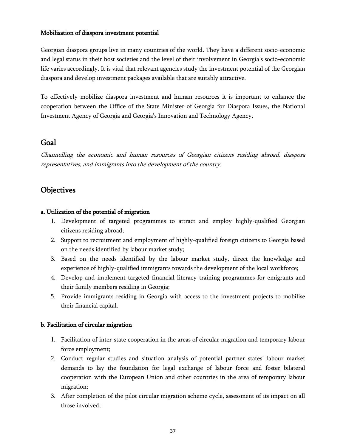## Mobilisation of diaspora investment potential

Georgian diaspora groups live in many countries of the world. They have a different socio-economic and legal status in their host societies and the level of their involvement in Georgia's socio-economic life varies accordingly. It is vital that relevant agencies study the investment potential of the Georgian diaspora and develop investment packages available that are suitably attractive.

To effectively mobilize diaspora investment and human resources it is important to enhance the cooperation between the Office of the State Minister of Georgia for Diaspora Issues, the National Investment Agency of Georgia and Georgia"s Innovation and Technology Agency.

# <span id="page-37-0"></span>Goal

Channelling the economic and human resources of Georgian citizens residing abroad, diaspora representatives, and immigrants into the development of the country.

# <span id="page-37-1"></span>**Objectives**

## a. Utilization of the potential of migration

- 1. Development of targeted programmes to attract and employ highly-qualified Georgian citizens residing abroad;
- 2. Support to recruitment and employment of highly-qualified foreign citizens to Georgia based on the needs identified by labour market study;
- 3. Based on the needs identified by the labour market study, direct the knowledge and experience of highly-qualified immigrants towards the development of the local workforce;
- 4. Develop and implement targeted financial literacy training programmes for emigrants and their family members residing in Georgia;
- 5. Provide immigrants residing in Georgia with access to the investment projects to mobilise their financial capital.

## b. Facilitation of circular migration

- 1. Facilitation of inter-state cooperation in the areas of circular migration and temporary labour force employment;
- 2. Conduct regular studies and situation analysis of potential partner states' labour market demands to lay the foundation for legal exchange of labour force and foster bilateral cooperation with the European Union and other countries in the area of temporary labour migration;
- 3. After completion of the pilot circular migration scheme cycle, assessment of its impact on all those involved;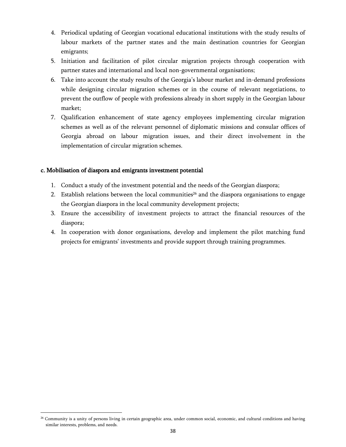- 4. Periodical updating of Georgian vocational educational institutions with the study results of labour markets of the partner states and the main destination countries for Georgian emigrants;
- 5. Initiation and facilitation of pilot circular migration projects through cooperation with partner states and international and local non-governmental organisations;
- 6. Take into account the study results of the Georgia"s labour market and in-demand professions while designing circular migration schemes or in the course of relevant negotiations, to prevent the outflow of people with professions already in short supply in the Georgian labour market;
- 7. Qualification enhancement of state agency employees implementing circular migration schemes as well as of the relevant personnel of diplomatic missions and consular offices of Georgia abroad on labour migration issues, and their direct involvement in the implementation of circular migration schemes.

## c. Mobilisation of diaspora and emigrants investment potential

 $\overline{\phantom{a}}$ 

- 1. Conduct a study of the investment potential and the needs of the Georgian diaspora;
- 2. Establish relations between the local communities<sup>26</sup> and the diaspora organisations to engage the Georgian diaspora in the local community development projects;
- 3. Ensure the accessibility of investment projects to attract the financial resources of the diaspora;
- 4. In cooperation with donor organisations, develop and implement the pilot matching fund projects for emigrants" investments and provide support through training programmes.

<sup>&</sup>lt;sup>26</sup> Community is a unity of persons living in certain geographic area, under common social, economic, and cultural conditions and having similar interests, problems, and needs.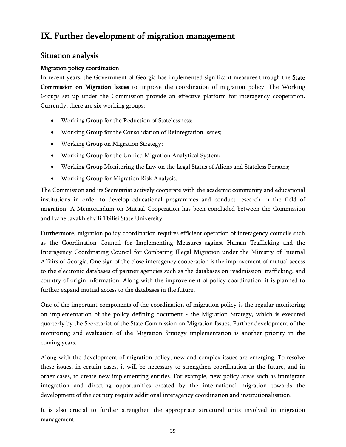# <span id="page-39-0"></span>IX. Further development of migration management

# <span id="page-39-1"></span>Situation analysis

## Migration policy coordination

In recent years, the Government of Georgia has implemented significant measures through the State Commission on Migration Issues to improve the coordination of migration policy. The Working Groups set up under the Commission provide an effective platform for interagency cooperation. Currently, there are six working groups:

- Working Group for the Reduction of Statelessness;
- Working Group for the Consolidation of Reintegration Issues;
- Working Group on Migration Strategy;
- Working Group for the Unified Migration Analytical System;
- Working Group Monitoring the Law on the Legal Status of Aliens and Stateless Persons;
- Working Group for Migration Risk Analysis.

The Commission and its Secretariat actively cooperate with the academic community and educational institutions in order to develop educational programmes and conduct research in the field of migration. A Memorandum on Mutual Cooperation has been concluded between the Commission and Ivane Javakhishvili Tbilisi State University.

Furthermore, migration policy coordination requires efficient operation of interagency councils such as the Coordination Council for Implementing Measures against Human Trafficking and the Interagency Coordinating Council for Combating Illegal Migration under the Ministry of Internal Affairs of Georgia. One sign of the close interagency cooperation is the improvement of mutual access to the electronic databases of partner agencies such as the databases on readmission, trafficking, and country of origin information. Along with the improvement of policy coordination, it is planned to further expand mutual access to the databases in the future.

One of the important components of the coordination of migration policy is the regular monitoring on implementation of the policy defining document - the Migration Strategy, which is executed quarterly by the Secretariat of the State Commission on Migration Issues. Further development of the monitoring and evaluation of the Migration Strategy implementation is another priority in the coming years.

Along with the development of migration policy, new and complex issues are emerging. To resolve these issues, in certain cases, it will be necessary to strengthen coordination in the future, and in other cases, to create new implementing entities. For example, new policy areas such as immigrant integration and directing opportunities created by the international migration towards the development of the country require additional interagency coordination and institutionalisation.

It is also crucial to further strengthen the appropriate structural units involved in migration management.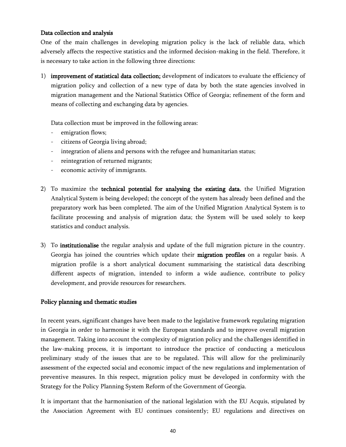#### Data collection and analysis

One of the main challenges in developing migration policy is the lack of reliable data, which adversely affects the respective statistics and the informed decision-making in the field. Therefore, it is necessary to take action in the following three directions:

1) improvement of statistical data collection; development of indicators to evaluate the efficiency of migration policy and collection of a new type of data by both the state agencies involved in migration management and the National Statistics Office of Georgia; refinement of the form and means of collecting and exchanging data by agencies.

Data collection must be improved in the following areas:

- emigration flows;
- citizens of Georgia living abroad;
- integration of aliens and persons with the refugee and humanitarian status;
- reintegration of returned migrants;
- economic activity of immigrants.
- 2) To maximize the technical potential for analysing the existing data, the Unified Migration Analytical System is being developed; the concept of the system has already been defined and the preparatory work has been completed. The aim of the Unified Migration Analytical System is to facilitate processing and analysis of migration data; the System will be used solely to keep statistics and conduct analysis.
- 3) To institutionalise the regular analysis and update of the full migration picture in the country. Georgia has joined the countries which update their **migration profiles** on a regular basis. A migration profile is a short analytical document summarising the statistical data describing different aspects of migration, intended to inform a wide audience, contribute to policy development, and provide resources for researchers.

#### Policy planning and thematic studies

In recent years, significant changes have been made to the legislative framework regulating migration in Georgia in order to harmonise it with the European standards and to improve overall migration management. Taking into account the complexity of migration policy and the challenges identified in the law-making process, it is important to introduce the practice of conducting a meticulous preliminary study of the issues that are to be regulated. This will allow for the preliminarily assessment of the expected social and economic impact of the new regulations and implementation of preventive measures. In this respect, migration policy must be developed in conformity with the Strategy for the Policy Planning System Reform of the Government of Georgia.

It is important that the harmonisation of the national legislation with the EU Acquis, stipulated by the Association Agreement with EU continues consistently; EU regulations and directives on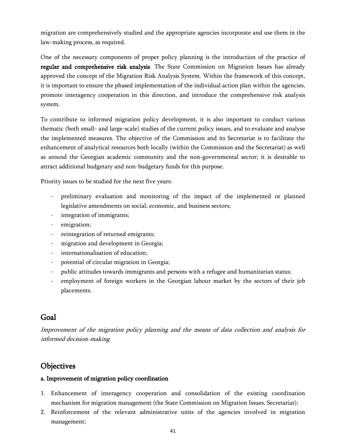migration are comprehensively studied and the appropriate agencies incorporate and use them in the law-making process, as required.

One of the necessary components of proper policy planning is the introduction of the practice of regular and comprehensive risk analysis. The State Commission on Migration Issues has already approved the concept of the Migration Risk Analysis System. Within the framework of this concept, it is important to ensure the phased implementation of the individual action plan within the agencies, promote interagency cooperation in this direction, and introduce the comprehensive risk analysis system.

To contribute to informed migration policy development, it is also important to conduct various thematic (both small- and large-scale) studies of the current policy issues, and to evaluate and analyse the implemented measures. The objective of the Commission and its Secretariat is to facilitate the enhancement of analytical resources both locally (within the Commission and the Secretariat) as well as around the Georgian academic community and the non-governmental sector; it is desirable to attract additional budgetary and non-budgetary funds for this purpose.

Priority issues to be studied for the next five years:

- preliminary evaluation and monitoring of the impact of the implemented or planned legislative amendments on social, economic, and business sectors;
- integration of immigrants;
- emigration;
- reintegration of returned emigrants;
- migration and development in Georgia;
- internationalisation of education;
- potential of circular migration in Georgia;
- public attitudes towards immigrants and persons with a refugee and humanitarian status;
- employment of foreign workers in the Georgian labour market by the sectors of their job placements.

# <span id="page-41-0"></span>Goal

Improvement of the migration policy planning and the means of data collection and analysis for informed decision-making.

# <span id="page-41-1"></span>**Objectives**

## a. Improvement of migration policy coordination

- 1. Enhancement of interagency cooperation and consolidation of the existing coordination mechanism for migration management (the State Commission on Migration Issues, Secretariat);
- 2. Reinforcement of the relevant administrative units of the agencies involved in migration management;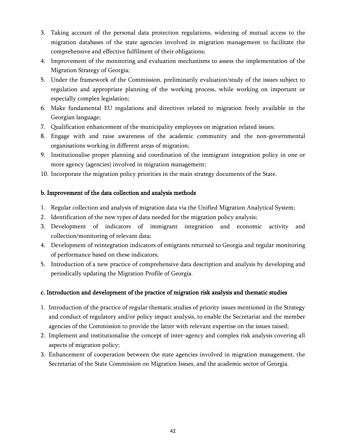- 3. Taking account of the personal data protection regulations, widening of mutual access to the migration databases of the state agencies involved in migration management to facilitate the comprehensive and effective fulfilment of their obligations;
- 4. Improvement of the monitoring and evaluation mechanisms to assess the implementation of the Migration Strategy of Georgia;
- 5. Under the framework of the Commission, preliminarily evaluation/study of the issues subject to regulation and appropriate planning of the working process, while working on important or especially complex legislation;
- 6. Make fundamental EU regulations and directives related to migration freely available in the Georgian language;
- 7. Qualification enhancement of the municipality employees on migration related issues;
- 8. Engage with and raise awareness of the academic community and the non-governmental organisations working in different areas of migration;
- 9. Institutionalise proper planning and coordination of the immigrant integration policy in one or more agency (agencies) involved in migration management;
- 10. Incorporate the migration policy priorities in the main strategy documents of the State.

## b. Improvement of the data collection and analysis methods

- 1. Regular collection and analysis of migration data via the Unified Migration Analytical System;
- 2. Identification of the new types of data needed for the migration policy analysis;
- 3. Development of indicators of immigrant integration and economic activity and collection/monitoring of relevant data;
- 4. Development of reintegration indicators of emigrants returned to Georgia and regular monitoring of performance based on these indicators;
- 5. Introduction of a new practice of comprehensive data description and analysis by developing and periodically updating the Migration Profile of Georgia.

## c. Introduction and development of the practice of migration risk analysis and thematic studies

- 1. Introduction of the practice of regular thematic studies of priority issues mentioned in the Strategy and conduct of regulatory and/or policy impact analysis, to enable the Secretariat and the member agencies of the Commission to provide the latter with relevant expertise on the issues raised;
- 2. Implement and institutionalise the concept of inter-agency and complex risk analysis covering all aspects of migration policy;
- 3. Enhancement of cooperation between the state agencies involved in migration management, the Secretariat of the State Commission on Migration Issues, and the academic sector of Georgia.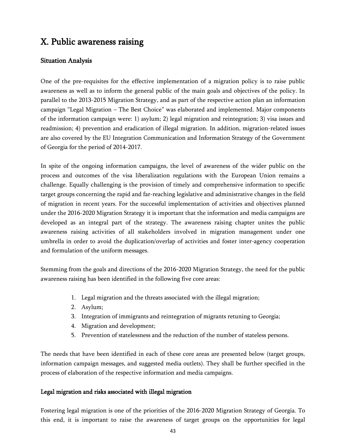# <span id="page-43-0"></span>X. Public awareness raising

## <span id="page-43-1"></span>Situation Analysis

One of the pre-requisites for the effective implementation of a migration policy is to raise public awareness as well as to inform the general public of the main goals and objectives of the policy. In parallel to the 2013-2015 Migration Strategy, and as part of the respective action plan an information campaign "Legal Migration – The Best Choice" was elaborated and implemented. Major components of the information campaign were: 1) asylum; 2) legal migration and reintegration; 3) visa issues and readmission; 4) prevention and eradication of illegal migration. In addition, migration-related issues are also covered by the EU Integration Communication and Information Strategy of the Government of Georgia for the period of 2014-2017.

In spite of the ongoing information campaigns, the level of awareness of the wider public on the process and outcomes of the visa liberalization regulations with the European Union remains a challenge. Equally challenging is the provision of timely and comprehensive information to specific target groups concerning the rapid and far-reaching legislative and administrative changes in the field of migration in recent years. For the successful implementation of activities and objectives planned under the 2016-2020 Migration Strategy it is important that the information and media campaigns are developed as an integral part of the strategy. The awareness raising chapter unites the public awareness raising activities of all stakeholders involved in migration management under one umbrella in order to avoid the duplication/overlap of activities and foster inter-agency cooperation and formulation of the uniform messages.

Stemming from the goals and directions of the 2016-2020 Migration Strategy, the need for the public awareness raising has been identified in the following five core areas:

- 1. Legal migration and the threats associated with the illegal migration;
- 2. Asylum;
- 3. Integration of immigrants and reintegration of migrants retuning to Georgia;
- 4. Migration and development;
- 5. Prevention of statelessness and the reduction of the number of stateless persons.

The needs that have been identified in each of these core areas are presented below (target groups, information campaign messages, and suggested media outlets). They shall be further specified in the process of elaboration of the respective information and media campaigns.

#### Legal migration and risks associated with illegal migration

Fostering legal migration is one of the priorities of the 2016-2020 Migration Strategy of Georgia. To this end, it is important to raise the awareness of target groups on the opportunities for legal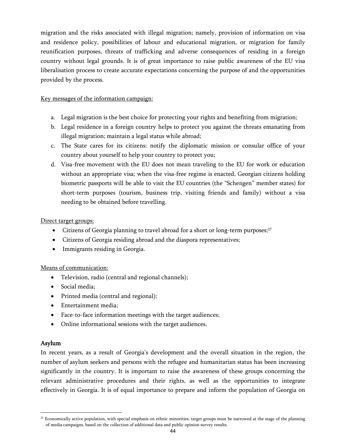migration and the risks associated with illegal migration; namely, provision of information on visa and residence policy, possibilities of labour and educational migration, or migration for family reunification purposes, threats of trafficking and adverse consequences of residing in a foreign country without legal grounds. It is of great importance to raise public awareness of the EU visa liberalisation process to create accurate expectations concerning the purpose of and the opportunities provided by the process.

#### Key messages of the information campaign:

- a. Legal migration is the best choice for protecting your rights and benefiting from migration;
- b. Legal residence in a foreign country helps to protect you against the threats emanating from illegal migration; maintain a legal status while abroad;
- c. The State cares for its citizens: notify the diplomatic mission or consular office of your country about yourself to help your country to protect you;
- d. Visa-free movement with the EU does not mean traveling to the EU for work or education without an appropriate visa; when the visa-free regime is enacted, Georgian citizens holding biometric passports will be able to visit the EU countries (the "Schengen" member states) for short-term purposes (tourism, business trip, visiting friends and family) without a visa needing to be obtained before travelling.

#### Direct target groups:

- Citizens of Georgia planning to travel abroad for a short or long-term purposes;<sup>27</sup>
- Citizens of Georgia residing abroad and the diaspora representatives;
- Immigrants residing in Georgia.

## Means of communication:

- Television, radio (central and regional channels);
- Social media:
- Printed media (central and regional);
- Entertainment media;
- Face-to-face information meetings with the target audiences;
- Online informational sessions with the target audiences.

#### Asylum

 $\overline{\phantom{a}}$ 

In recent years, as a result of Georgia's development and the overall situation in the region, the number of asylum seekers and persons with the refugee and humanitarian status has been increasing significantly in the country. It is important to raise the awareness of these groups concerning the relevant administrative procedures and their rights, as well as the opportunities to integrate effectively in Georgia. It is of equal importance to prepare and inform the population of Georgia on

 $27$  Economically active population, with special emphasis on ethnic minorities; target groups must be narrowed at the stage of the planning of media campaigns, based on the collection of additional data and public opinion survey results.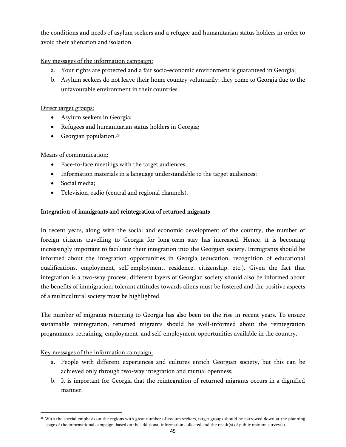the conditions and needs of asylum seekers and a refugee and humanitarian status holders in order to avoid their alienation and isolation.

## Key messages of the information campaign:

- a. Your rights are protected and a fair socio-economic environment is guaranteed in Georgia;
- b. Asylum seekers do not leave their home country voluntarily; they come to Georgia due to the unfavourable environment in their countries.

## Direct target groups:

- Asylum seekers in Georgia;
- Refugees and humanitarian status holders in Georgia;
- Georgian population.<sup>28</sup>

## Means of communication:

- Face-to-face meetings with the target audiences;
- Information materials in a language understandable to the target audiences;
- Social media;
- Television, radio (central and regional channels).

## Integration of immigrants and reintegration of returned migrants

In recent years, along with the social and economic development of the country, the number of foreign citizens travelling to Georgia for long-term stay has increased. Hence, it is becoming increasingly important to facilitate their integration into the Georgian society. Immigrants should be informed about the integration opportunities in Georgia (education, recognition of educational qualifications, employment, self-employment, residence, citizenship, etc.). Given the fact that integration is a two-way process, different layers of Georgian society should also be informed about the benefits of immigration; tolerant attitudes towards aliens must be fostered and the positive aspects of a multicultural society must be highlighted.

The number of migrants returning to Georgia has also been on the rise in recent years. To ensure sustainable reintegration, returned migrants should be well-informed about the reintegration programmes, retraining, employment, and self-employment opportunities available in the country.

## Key messages of the information campaign:

 $\overline{\phantom{a}}$ 

- a. People with different experiences and cultures enrich Georgian society, but this can be achieved only through two-way integration and mutual openness;
- b. It is important for Georgia that the reintegration of returned migrants occurs in a dignified manner.

<sup>&</sup>lt;sup>28</sup> With the special emphasis on the regions with great number of asylum seekers, target groups should be narrowed down at the planning stage of the informational campaign, based on the additional information collected and the result(s) of public opinion survey(s).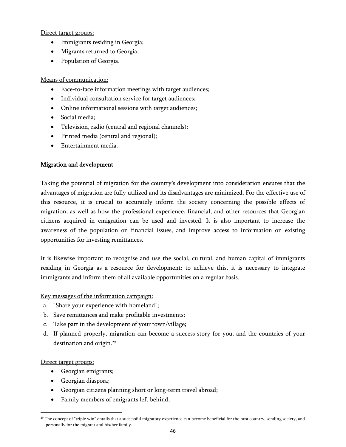Direct target groups:

- Immigrants residing in Georgia;
- Migrants returned to Georgia;
- Population of Georgia.

#### Means of communication:

- Face-to-face information meetings with target audiences;
- Individual consultation service for target audiences;
- Online informational sessions with target audiences;
- Social media:
- Television, radio (central and regional channels);
- Printed media (central and regional);
- Entertainment media.

## Migration and development

Taking the potential of migration for the country"s development into consideration ensures that the advantages of migration are fully utilized and its disadvantages are minimized. For the effective use of this resource, it is crucial to accurately inform the society concerning the possible effects of migration, as well as how the professional experience, financial, and other resources that Georgian citizens acquired in emigration can be used and invested. It is also important to increase the awareness of the population on financial issues, and improve access to information on existing opportunities for investing remittances.

It is likewise important to recognise and use the social, cultural, and human capital of immigrants residing in Georgia as a resource for development; to achieve this, it is necessary to integrate immigrants and inform them of all available opportunities on a regular basis.

Key messages of the information campaign:

- a. "Share your experience with homeland";
- b. Save remittances and make profitable investments;
- c. Take part in the development of your town/village;
- d. If planned properly, migration can become a success story for you, and the countries of your destination and origin. 29

## Direct target groups:

 $\overline{\phantom{a}}$ 

- Georgian emigrants;
- Georgian diaspora;
- Georgian citizens planning short or long-term travel abroad;
- Family members of emigrants left behind;

<sup>&</sup>lt;sup>29</sup> The concept of "triple win" entails that a successful migratory experience can become beneficial for the host country, sending society, and personally for the migrant and his/her family.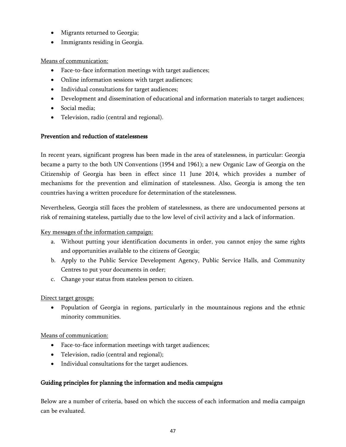- Migrants returned to Georgia;
- Immigrants residing in Georgia.

## Means of communication:

- Face-to-face information meetings with target audiences;
- Online information sessions with target audiences;
- Individual consultations for target audiences;
- Development and dissemination of educational and information materials to target audiences;
- Social media;
- Television, radio (central and regional).

#### Prevention and reduction of statelessness

In recent years, significant progress has been made in the area of statelessness, in particular: Georgia became a party to the both UN Conventions (1954 and 1961); a new Organic Law of Georgia on the Citizenship of Georgia has been in effect since 11 June 2014, which provides a number of mechanisms for the prevention and elimination of statelessness. Also, Georgia is among the ten countries having a written procedure for determination of the statelessness.

Nevertheless, Georgia still faces the problem of statelessness, as there are undocumented persons at risk of remaining stateless, partially due to the low level of civil activity and a lack of information.

## Key messages of the information campaign:

- a. Without putting your identification documents in order, you cannot enjoy the same rights and opportunities available to the citizens of Georgia;
- b. Apply to the Public Service Development Agency, Public Service Halls, and Community Centres to put your documents in order;
- c. Change your status from stateless person to citizen.

## Direct target groups:

• Population of Georgia in regions, particularly in the mountainous regions and the ethnic minority communities.

## Means of communication:

- Face-to-face information meetings with target audiences;
- Television, radio (central and regional);
- Individual consultations for the target audiences.

## Guiding principles for planning the information and media campaigns

Below are a number of criteria, based on which the success of each information and media campaign can be evaluated.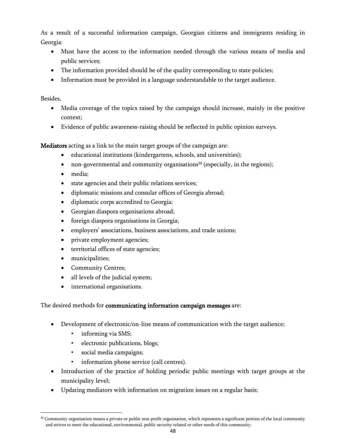As a result of a successful information campaign, Georgian citizens and immigrants residing in Georgia:

- Must have the access to the information needed through the various means of media and public services;
- The information provided should be of the quality corresponding to state policies;
- Information must be provided in a language understandable to the target audience.

Besides,

 $\overline{\phantom{a}}$ 

- Media coverage of the topics raised by the campaign should increase, mainly in the positive context;
- Evidence of public awareness-raising should be reflected in public opinion surveys.

Mediators acting as a link to the main target groups of the campaign are:

- educational institutions (kindergartens, schools, and universities);
- non-governmental and community organisations<sup>30</sup> (especially, in the regions);
- media;
- state agencies and their public relations services;
- diplomatic missions and consular offices of Georgia abroad;
- diplomatic corps accredited to Georgia;
- Georgian diaspora organisations abroad;
- foreign diaspora organisations in Georgia;
- employers" associations, business associations, and trade unions;
- private employment agencies;
- territorial offices of state agencies;
- municipalities;
- Community Centres;
- all levels of the judicial system;
- international organisations.

## The desired methods for communicating information campaign messages are:

- Development of electronic/on-line means of communication with the target audience;
	- informing via SMS;
	- electronic publications, blogs;
	- social media campaigns;
	- information phone service (call centres).
- Introduction of the practice of holding periodic public meetings with target groups at the municipality level;
- Updating mediators with information on migration issues on a regular basis;

<sup>&</sup>lt;sup>30</sup> Community organisation means a private or public non-profit organisation, which represents a significant portion of the local community and strives to meet the educational, environmental, public security related or other needs of this community.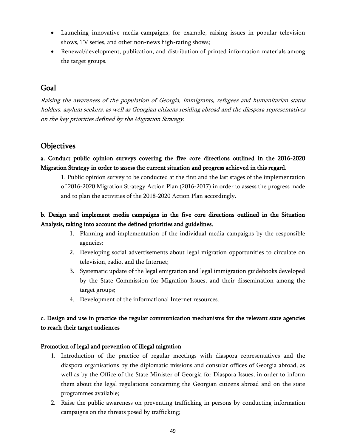- Launching innovative media-campaigns, for example, raising issues in popular television shows, TV series, and other non-news high-rating shows;
- Renewal/development, publication, and distribution of printed information materials among the target groups.

# <span id="page-49-0"></span>Goal

Raising the awareness of the population of Georgia, immigrants, refugees and humanitarian status holders, asylum seekers, as well as Georgian citizens residing abroad and the diaspora representatives on the key priorities defined by the Migration Strategy.

# <span id="page-49-1"></span>**Objectives**

a. Conduct public opinion surveys covering the five core directions outlined in the 2016-2020 Migration Strategy in order to assess the current situation and progress achieved in this regard.

1. Public opinion survey to be conducted at the first and the last stages of the implementation of 2016-2020 Migration Strategy Action Plan (2016-2017) in order to assess the progress made and to plan the activities of the 2018-2020 Action Plan accordingly.

# b. Design and implement media campaigns in the five core directions outlined in the Situation Analysis, taking into account the defined priorities and guidelines.

- 1. Planning and implementation of the individual media campaigns by the responsible agencies;
- 2. Developing social advertisements about legal migration opportunities to circulate on television, radio, and the Internet;
- 3. Systematic update of the legal emigration and legal immigration guidebooks developed by the State Commission for Migration Issues, and their dissemination among the target groups;
- 4. Development of the informational Internet resources.

# c. Design and use in practice the regular communication mechanisms for the relevant state agencies to reach their target audiences

## Promotion of legal and prevention of illegal migration

- 1. Introduction of the practice of regular meetings with diaspora representatives and the diaspora organisations by the diplomatic missions and consular offices of Georgia abroad, as well as by the Office of the State Minister of Georgia for Diaspora Issues, in order to inform them about the legal regulations concerning the Georgian citizens abroad and on the state programmes available;
- 2. Raise the public awareness on preventing trafficking in persons by conducting information campaigns on the threats posed by trafficking;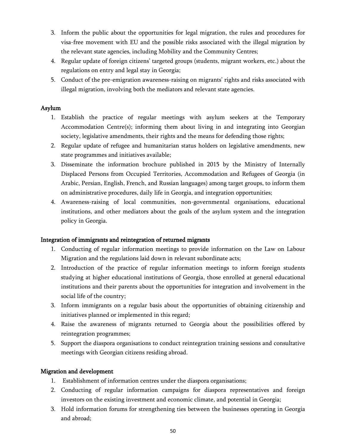- 3. Inform the public about the opportunities for legal migration, the rules and procedures for visa-free movement with EU and the possible risks associated with the illegal migration by the relevant state agencies, including Mobility and the Community Centres;
- 4. Regular update of foreign citizens" targeted groups (students, migrant workers, etc.) about the regulations on entry and legal stay in Georgia;
- 5. Conduct of the pre-emigration awareness-raising on migrants' rights and risks associated with illegal migration, involving both the mediators and relevant state agencies.

## Asylum

- 1. Establish the practice of regular meetings with asylum seekers at the Temporary Accommodation Centre(s); informing them about living in and integrating into Georgian society, legislative amendments, their rights and the means for defending those rights;
- 2. Regular update of refugee and humanitarian status holders on legislative amendments, new state programmes and initiatives available;
- 3. Disseminate the information brochure published in 2015 by the Ministry of Internally Displaced Persons from Occupied Territories, Accommodation and Refugees of Georgia (in Arabic, Persian, English, French, and Russian languages) among target groups, to inform them on administrative procedures, daily life in Georgia, and integration opportunities;
- 4. Awareness-raising of local communities, non-governmental organisations, educational institutions, and other mediators about the goals of the asylum system and the integration policy in Georgia.

## Integration of immigrants and reintegration of returned migrants

- 1. Conducting of regular information meetings to provide information on the Law on Labour Migration and the regulations laid down in relevant subordinate acts;
- 2. Introduction of the practice of regular information meetings to inform foreign students studying at higher educational institutions of Georgia, those enrolled at general educational institutions and their parents about the opportunities for integration and involvement in the social life of the country;
- 3. Inform immigrants on a regular basis about the opportunities of obtaining citizenship and initiatives planned or implemented in this regard;
- 4. Raise the awareness of migrants returned to Georgia about the possibilities offered by reintegration programmes;
- 5. Support the diaspora organisations to conduct reintegration training sessions and consultative meetings with Georgian citizens residing abroad.

## Migration and development

- 1. Establishment of information centres under the diaspora organisations;
- 2. Conducting of regular information campaigns for diaspora representatives and foreign investors on the existing investment and economic climate, and potential in Georgia;
- 3. Hold information forums for strengthening ties between the businesses operating in Georgia and abroad;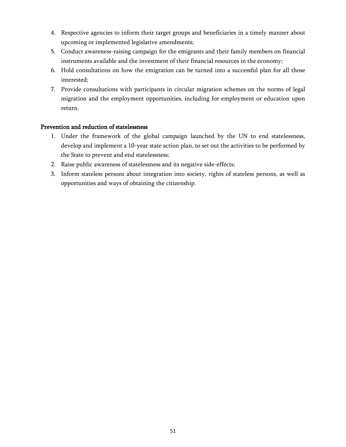- 4. Respective agencies to inform their target groups and beneficiaries in a timely manner about upcoming or implemented legislative amendments;
- 5. Conduct awareness-raising campaign for the emigrants and their family members on financial instruments available and the investment of their financial resources in the economy;
- 6. Hold consultations on how the emigration can be turned into a successful plan for all those interested;
- 7. Provide consultations with participants in circular migration schemes on the norms of legal migration and the employment opportunities, including for employment or education upon return.

## Prevention and reduction of statelessness

- 1. Under the framework of the global campaign launched by the UN to end statelessness, develop and implement a 10-year state action plan, to set out the activities to be performed by the State to prevent and end statelessness;
- 2. Raise public awareness of statelessness and its negative side-effects;
- 3. Inform stateless persons about integration into society, rights of stateless persons, as well as opportunities and ways of obtaining the citizenship.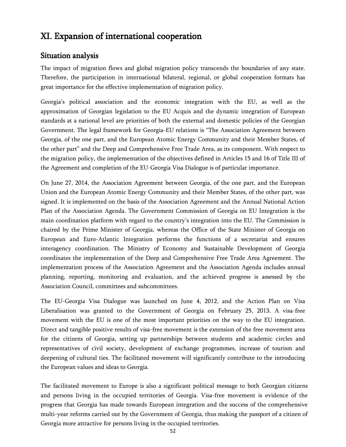# <span id="page-52-0"></span>XI. Expansion of international cooperation

# <span id="page-52-1"></span>Situation analysis

The impact of migration flows and global migration policy transcends the boundaries of any state. Therefore, the participation in international bilateral, regional, or global cooperation formats has great importance for the effective implementation of migration policy.

Georgia"s political association and the economic integration with the EU, as well as the approximation of Georgian legislation to the EU Acquis and the dynamic integration of European standards at a national level are priorities of both the external and domestic policies of the Georgian Government. The legal framework for Georgia-EU relations is "The Association Agreement between Georgia, of the one part, and the European Atomic Energy Community and their Member States, of the other part" and the Deep and Comprehensive Free Trade Area, as its component. With respect to the migration policy, the implementation of the objectives defined in Articles 15 and 16 of Title III of the Agreement and completion of the EU-Georgia Visa Dialogue is of particular importance.

On June 27, 2014, the Association Agreement between Georgia, of the one part, and the European Union and the European Atomic Energy Community and their Member States, of the other part, was signed. It is implemented on the basis of the Association Agreement and the Annual National Action Plan of the Association Agenda. The Government Commission of Georgia on EU Integration is the main coordination platform with regard to the country"s integration into the EU. The Commission is chaired by the Prime Minister of Georgia, whereas the Office of the State Minister of Georgia on European and Euro-Atlantic Integration performs the functions of a secretariat and ensures interagency coordination. The Ministry of Economy and Sustainable Development of Georgia coordinates the implementation of the Deep and Comprehensive Free Trade Area Agreement. The implementation process of the Association Agreement and the Association Agenda includes annual planning, reporting, monitoring and evaluation, and the achieved progress is assessed by the Association Council, committees and subcommittees.

The EU-Georgia Visa Dialogue was launched on June 4, 2012, and the Action Plan on Visa Liberalisation was granted to the Government of Georgia on February 25, 2013. A visa-free movement with the EU is one of the most important priorities on the way to the EU integration. Direct and tangible positive results of visa-free movement is the extension of the free movement area for the citizens of Georgia, setting up partnerships between students and academic circles and representatives of civil society, development of exchange programmes, increase of tourism and deepening of cultural ties. The facilitated movement will significantly contribute to the introducing the European values and ideas to Georgia.

The facilitated movement to Europe is also a significant political message to both Georgian citizens and persons living in the occupied territories of Georgia. Visa-free movement is evidence of the progress that Georgia has made towards European integration and the success of the comprehensive multi-year reforms carried out by the Government of Georgia, thus making the passport of a citizen of Georgia more attractive for persons living in the occupied territories.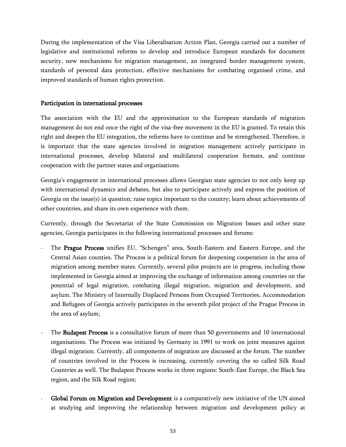During the implementation of the Visa Liberalisation Action Plan, Georgia carried out a number of legislative and institutional reforms to develop and introduce European standards for document security, new mechanisms for migration management, an integrated border management system, standards of personal data protection, effective mechanisms for combating organised crime, and improved standards of human rights protection.

#### Participation in international processes

The association with the EU and the approximation to the European standards of migration management do not end once the right of the visa-free movement in the EU is granted. To retain this right and deepen the EU integration, the reforms have to continue and be strengthened. Therefore, it is important that the state agencies involved in migration management actively participate in international processes, develop bilateral and multilateral cooperation formats, and continue cooperation with the partner states and organisations.

Georgia's engagement in international processes allows Georgian state agencies to not only keep up with international dynamics and debates, but also to participate actively and express the position of Georgia on the issue(s) in question; raise topics important to the country; learn about achievements of other countries, and share its own experience with them.

Currently, through the Secretariat of the State Commission on Migration Issues and other state agencies, Georgia participates in the following international processes and forums:

- The Prague Process unifies EU, "Schengen" area, South-Eastern and Eastern Europe, and the Central Asian counties. The Process is a political forum for deepening cooperation in the area of migration among member states. Currently, several pilot projects are in progress, including those implemented in Georgia aimed at improving the exchange of information among countries on the potential of legal migration, combating illegal migration, migration and development, and asylum. The Ministry of Internally Displaced Persons from Occupied Territories, Accommodation and Refugees of Georgia actively participates in the seventh pilot project of the Prague Process in the area of asylum;
- The Budapest Process is a consultative forum of more than 50 governments and 10 international organisations. The Process was initiated by Germany in 1991 to work on joint measures against illegal migration. Currently, all components of migration are discussed at the forum. The number of countries involved in the Process is increasing, currently covering the so called Silk Road Countries as well. The Budapest Process works in three regions: South-East Europe, the Black Sea region, and the Silk Road region;
- Global Forum on Migration and Development is a comparatively new initiative of the UN aimed at studying and improving the relationship between migration and development policy at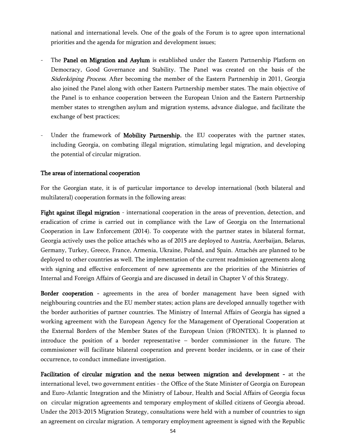national and international levels. One of the goals of the Forum is to agree upon international priorities and the agenda for migration and development issues;

- The Panel on Migration and Asylum is established under the Eastern Partnership Platform on Democracy, Good Governance and Stability. The Panel was created on the basis of the Söderköping Process. After becoming the member of the Eastern Partnership in 2011, Georgia also joined the Panel along with other Eastern Partnership member states. The main objective of the Panel is to enhance cooperation between the European Union and the Eastern Partnership member states to strengthen asylum and migration systems, advance dialogue, and facilitate the exchange of best practices;
- Under the framework of Mobility Partnership, the EU cooperates with the partner states, including Georgia, on combating illegal migration, stimulating legal migration, and developing the potential of circular migration.

#### The areas of international cooperation

For the Georgian state, it is of particular importance to develop international (both bilateral and multilateral) cooperation formats in the following areas:

Fight against illegal migration - international cooperation in the areas of prevention, detection, and eradication of crime is carried out in compliance with the Law of Georgia on the International Cooperation in Law Enforcement (2014). To cooperate with the partner states in bilateral format, Georgia actively uses the police attachés who as of 2015 are deployed to Austria, Azerbaijan, Belarus, Germany, Turkey, Greece, France, Armenia, Ukraine, Poland, and Spain. Attachés are planned to be deployed to other countries as well. The implementation of the current readmission agreements along with signing and effective enforcement of new agreements are the priorities of the Ministries of Internal and Foreign Affairs of Georgia and are discussed in detail in Chapter V of this Strategy.

Border cooperation - agreements in the area of border management have been signed with neighbouring countries and the EU member states; action plans are developed annually together with the border authorities of partner countries. The Ministry of Internal Affairs of Georgia has signed a working agreement with the European Agency for the Management of Operational Cooperation at the External Borders of the Member States of the European Union (FRONTEX). It is planned to introduce the position of a border representative – border commissioner in the future. The commissioner will facilitate bilateral cooperation and prevent border incidents, or in case of their occurrence, to conduct immediate investigation.

Facilitation of circular migration and the nexus between migration and development - at the international level, two government entities - the Office of the State Minister of Georgia on European and Euro-Atlantic Integration and the Ministry of Labour, Health and Social Affairs of Georgia focus on circular migration agreements and temporary employment of skilled citizens of Georgia abroad. Under the 2013-2015 Migration Strategy, consultations were held with a number of countries to sign an agreement on circular migration. A temporary employment agreement is signed with the Republic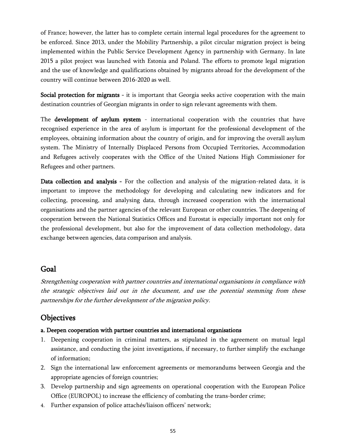of France; however, the latter has to complete certain internal legal procedures for the agreement to be enforced. Since 2013, under the Mobility Partnership, a pilot circular migration project is being implemented within the Public Service Development Agency in partnership with Germany. In late 2015 a pilot project was launched with Estonia and Poland. The efforts to promote legal migration and the use of knowledge and qualifications obtained by migrants abroad for the development of the country will continue between 2016-2020 as well.

Social protection for migrants - it is important that Georgia seeks active cooperation with the main destination countries of Georgian migrants in order to sign relevant agreements with them.

The development of asylum system - international cooperation with the countries that have recognised experience in the area of asylum is important for the professional development of the employees, obtaining information about the country of origin, and for improving the overall asylum system. The Ministry of Internally Displaced Persons from Occupied Territories, Accommodation and Refugees actively cooperates with the Office of the United Nations High Commissioner for Refugees and other partners.

Data collection and analysis - For the collection and analysis of the migration-related data, it is important to improve the methodology for developing and calculating new indicators and for collecting, processing, and analysing data, through increased cooperation with the international organisations and the partner agencies of the relevant European or other countries. The deepening of cooperation between the National Statistics Offices and Eurostat is especially important not only for the professional development, but also for the improvement of data collection methodology, data exchange between agencies, data comparison and analysis.

# <span id="page-55-0"></span>Goal

Strengthening cooperation with partner countries and international organisations in compliance with the strategic objectives laid out in the document, and use the potential stemming from these partnerships for the further development of the migration policy.

# <span id="page-55-1"></span>**Objectives**

## a. Deepen cooperation with partner countries and international organisations

- 1. Deepening cooperation in criminal matters, as stipulated in the agreement on mutual legal assistance, and conducting the joint investigations, if necessary, to further simplify the exchange of information;
- 2. Sign the international law enforcement agreements or memorandums between Georgia and the appropriate agencies of foreign countries;
- 3. Develop partnership and sign agreements on operational cooperation with the European Police Office (EUROPOL) to increase the efficiency of combating the trans-border crime;
- 4. Further expansion of police attachés/liaison officers' network;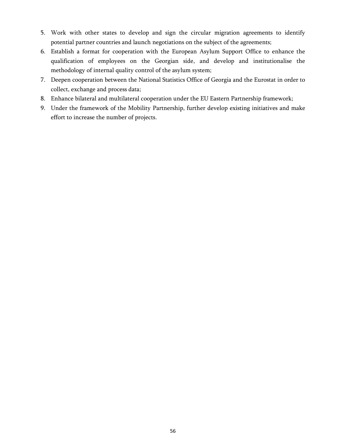- 5. Work with other states to develop and sign the circular migration agreements to identify potential partner countries and launch negotiations on the subject of the agreements;
- 6. Establish a format for cooperation with the European Asylum Support Office to enhance the qualification of employees on the Georgian side, and develop and institutionalise the methodology of internal quality control of the asylum system;
- 7. Deepen cooperation between the National Statistics Office of Georgia and the Eurostat in order to collect, exchange and process data;
- 8. Enhance bilateral and multilateral cooperation under the EU Eastern Partnership framework;
- 9. Under the framework of the Mobility Partnership, further develop existing initiatives and make effort to increase the number of projects.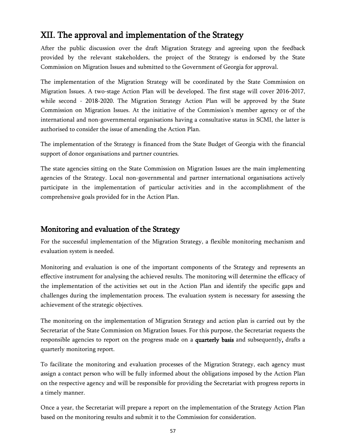# <span id="page-57-0"></span>XII. The approval and implementation of the Strategy

After the public discussion over the draft Migration Strategy and agreeing upon the feedback provided by the relevant stakeholders, the project of the Strategy is endorsed by the State Commission on Migration Issues and submitted to the Government of Georgia for approval.

The implementation of the Migration Strategy will be coordinated by the State Commission on Migration Issues. A two-stage Action Plan will be developed. The first stage will cover 2016-2017, while second - 2018-2020. The Migration Strategy Action Plan will be approved by the State Commission on Migration Issues. At the initiative of the Commission"s member agency or of the international and non-governmental organisations having a consultative status in SCMI, the latter is authorised to consider the issue of amending the Action Plan.

The implementation of the Strategy is financed from the State Budget of Georgia with the financial support of donor organisations and partner countries.

The state agencies sitting on the State Commission on Migration Issues are the main implementing agencies of the Strategy. Local non-governmental and partner international organisations actively participate in the implementation of particular activities and in the accomplishment of the comprehensive goals provided for in the Action Plan.

# <span id="page-57-1"></span>Monitoring and evaluation of the Strategy

For the successful implementation of the Migration Strategy, a flexible monitoring mechanism and evaluation system is needed.

Monitoring and evaluation is one of the important components of the Strategy and represents an effective instrument for analysing the achieved results. The monitoring will determine the efficacy of the implementation of the activities set out in the Action Plan and identify the specific gaps and challenges during the implementation process. The evaluation system is necessary for assessing the achievement of the strategic objectives.

The monitoring on the implementation of Migration Strategy and action plan is carried out by the Secretariat of the State Commission on Migration Issues. For this purpose, the Secretariat requests the responsible agencies to report on the progress made on a quarterly basis and subsequently, drafts a quarterly monitoring report.

To facilitate the monitoring and evaluation processes of the Migration Strategy, each agency must assign a contact person who will be fully informed about the obligations imposed by the Action Plan on the respective agency and will be responsible for providing the Secretariat with progress reports in a timely manner.

Once a year, the Secretariat will prepare a report on the implementation of the Strategy Action Plan based on the monitoring results and submit it to the Commission for consideration.